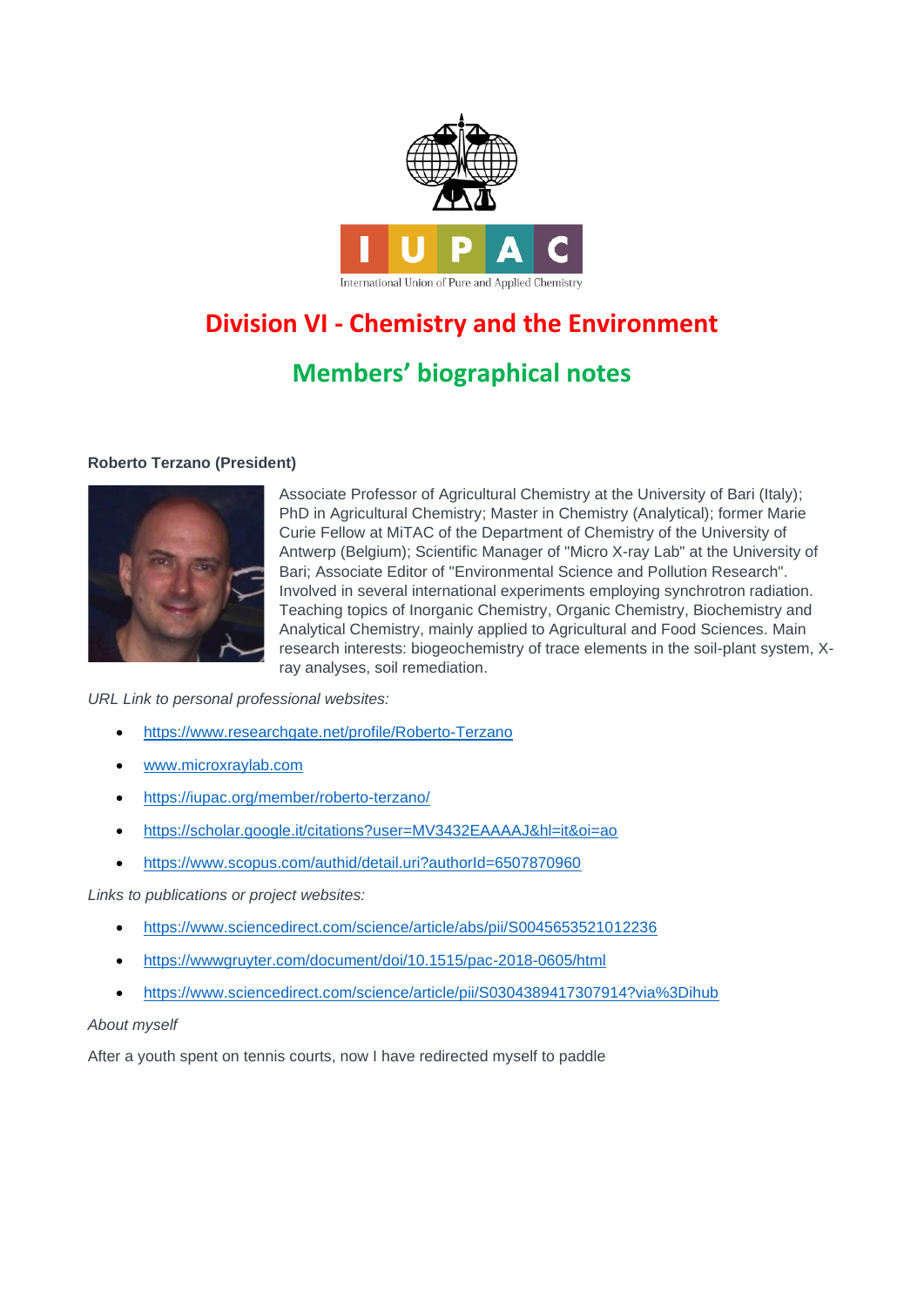

# **Division VI - Chemistry and the Environment**

# **Members' biographical notes**

# **Roberto Terzano (President)**



Associate Professor of Agricultural Chemistry at the University of Bari (Italy); PhD in Agricultural Chemistry; Master in Chemistry (Analytical); former Marie Curie Fellow at MiTAC of the Department of Chemistry of the University of Antwerp (Belgium); Scientific Manager of "Micro X-ray Lab" at the University of Bari; Associate Editor of "Environmental Science and Pollution Research". Involved in several international experiments employing synchrotron radiation. Teaching topics of Inorganic Chemistry, Organic Chemistry, Biochemistry and Analytical Chemistry, mainly applied to Agricultural and Food Sciences. Main research interests: biogeochemistry of trace elements in the soil-plant system, Xray analyses, soil remediation.

*URL Link to personal professional websites:* 

- <https://www.researchgate.net/profile/Roberto-Terzano>
- [www.microxraylab.com](http://www.microxraylab.com/)
- <https://iupac.org/member/roberto-terzano/>
- <https://scholar.google.it/citations?user=MV3432EAAAAJ&hl=it&oi=ao>
- <https://www.scopus.com/authid/detail.uri?authorId=6507870960>

*Links to publications or project websites:*

- <https://www.sciencedirect.com/science/article/abs/pii/S0045653521012236>
- <https://wwwgruyter.com/document/doi/10.1515/pac-2018-0605/html>
- <https://www.sciencedirect.com/science/article/pii/S0304389417307914?via%3Dihub>

# *About myself*

After a youth spent on tennis courts, now I have redirected myself to paddle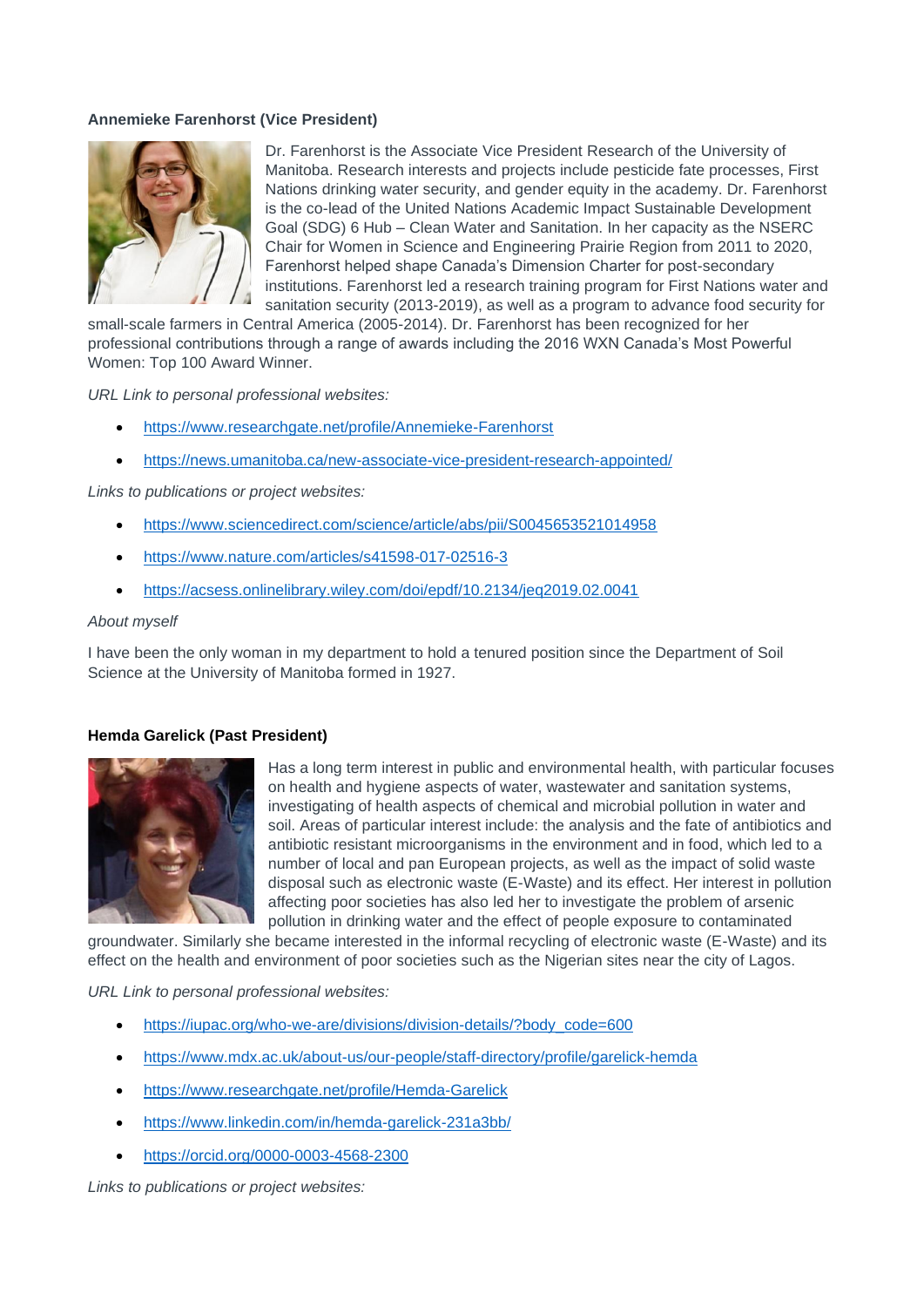## **Annemieke Farenhorst (Vice President)**



Dr. Farenhorst is the Associate Vice President Research of the University of Manitoba. Research interests and projects include pesticide fate processes, First Nations drinking water security, and gender equity in the academy. Dr. Farenhorst is the co-lead of the United Nations Academic Impact Sustainable Development Goal (SDG) 6 Hub – Clean Water and Sanitation. In her capacity as the NSERC Chair for Women in Science and Engineering Prairie Region from 2011 to 2020, Farenhorst helped shape Canada's Dimension Charter for post-secondary institutions. Farenhorst led a research training program for First Nations water and sanitation security (2013-2019), as well as a program to advance food security for

small-scale farmers in Central America (2005-2014). Dr. Farenhorst has been recognized for her professional contributions through a range of awards including the 2016 WXN Canada's Most Powerful Women: Top 100 Award Winner.

*URL Link to personal professional websites:* 

- <https://www.researchgate.net/profile/Annemieke-Farenhorst>
- <https://news.umanitoba.ca/new-associate-vice-president-research-appointed/>

*Links to publications or project websites:*

- <https://www.sciencedirect.com/science/article/abs/pii/S0045653521014958>
- <https://www.nature.com/articles/s41598-017-02516-3>
- <https://acsess.onlinelibrary.wiley.com/doi/epdf/10.2134/jeq2019.02.0041>

#### *About myself*

I have been the only woman in my department to hold a tenured position since the Department of Soil Science at the University of Manitoba formed in 1927.

# **Hemda Garelick (Past President)**



Has a long term interest in public and environmental health, with particular focuses on health and hygiene aspects of water, wastewater and sanitation systems, investigating of health aspects of chemical and microbial pollution in water and soil. Areas of particular interest include: the analysis and the fate of antibiotics and antibiotic resistant microorganisms in the environment and in food, which led to a number of local and pan European projects, as well as the impact of solid waste disposal such as electronic waste (E-Waste) and its effect. Her interest in pollution affecting poor societies has also led her to investigate the problem of arsenic pollution in drinking water and the effect of people exposure to contaminated

groundwater. Similarly she became interested in the informal recycling of electronic waste (E-Waste) and its effect on the health and environment of poor societies such as the Nigerian sites near the city of Lagos.

*URL Link to personal professional websites:* 

- [https://iupac.org/who-we-are/divisions/division-details/?body\\_code=600](https://iupac.org/who-we-are/divisions/division-details/?body_code=600)
- <https://www.mdx.ac.uk/about-us/our-people/staff-directory/profile/garelick-hemda>
- <https://www.researchgate.net/profile/Hemda-Garelick>
- <https://www.linkedin.com/in/hemda-garelick-231a3bb/>
- <https://orcid.org/0000-0003-4568-2300>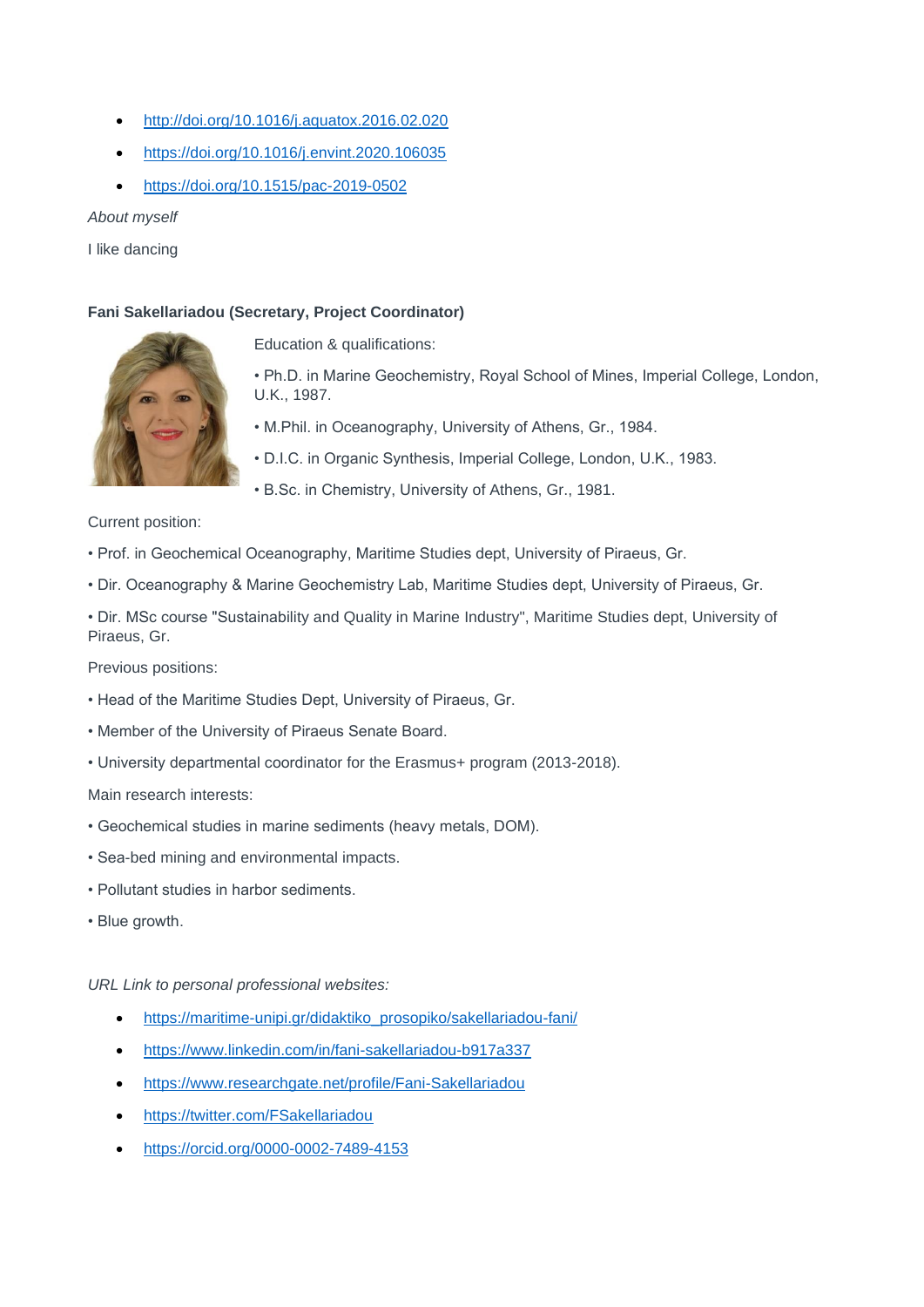- <http://doi.org/10.1016/j.aquatox.2016.02.020>
- <https://doi.org/10.1016/j.envint.2020.106035>
- <https://doi.org/10.1515/pac-2019-0502>

*About myself*

I like dancing

# **Fani Sakellariadou (Secretary, Project Coordinator)**



Education & qualifications:

• Ph.D. in Marine Geochemistry, Royal School of Mines, Imperial College, London, U.K., 1987.

- M.Phil. in Oceanography, University of Athens, Gr., 1984.
- D.I.C. in Organic Synthesis, Imperial College, London, U.K., 1983.
- B.Sc. in Chemistry, University of Athens, Gr., 1981.

Current position:

- Prof. in Geochemical Oceanography, Maritime Studies dept, University of Piraeus, Gr.
- Dir. Oceanography & Marine Geochemistry Lab, Maritime Studies dept, University of Piraeus, Gr.

• Dir. MSc course "Sustainability and Quality in Marine Industry", Maritime Studies dept, University of Piraeus, Gr.

Previous positions:

- Head of the Maritime Studies Dept, University of Piraeus, Gr.
- Member of the University of Piraeus Senate Board.
- University departmental coordinator for the Erasmus+ program (2013-2018).

Main research interests:

- Geochemical studies in marine sediments (heavy metals, DOM).
- Sea-bed mining and environmental impacts.
- Pollutant studies in harbor sediments.
- Blue growth.

- [https://maritime-unipi.gr/didaktiko\\_prosopiko/sakellariadou-fani/](https://maritime-unipi.gr/didaktiko_prosopiko/sakellariadou-fani/)
- <https://www.linkedin.com/in/fani-sakellariadou-b917a337>
- <https://www.researchgate.net/profile/Fani-Sakellariadou>
- <https://twitter.com/FSakellariadou>
- <https://orcid.org/0000-0002-7489-4153>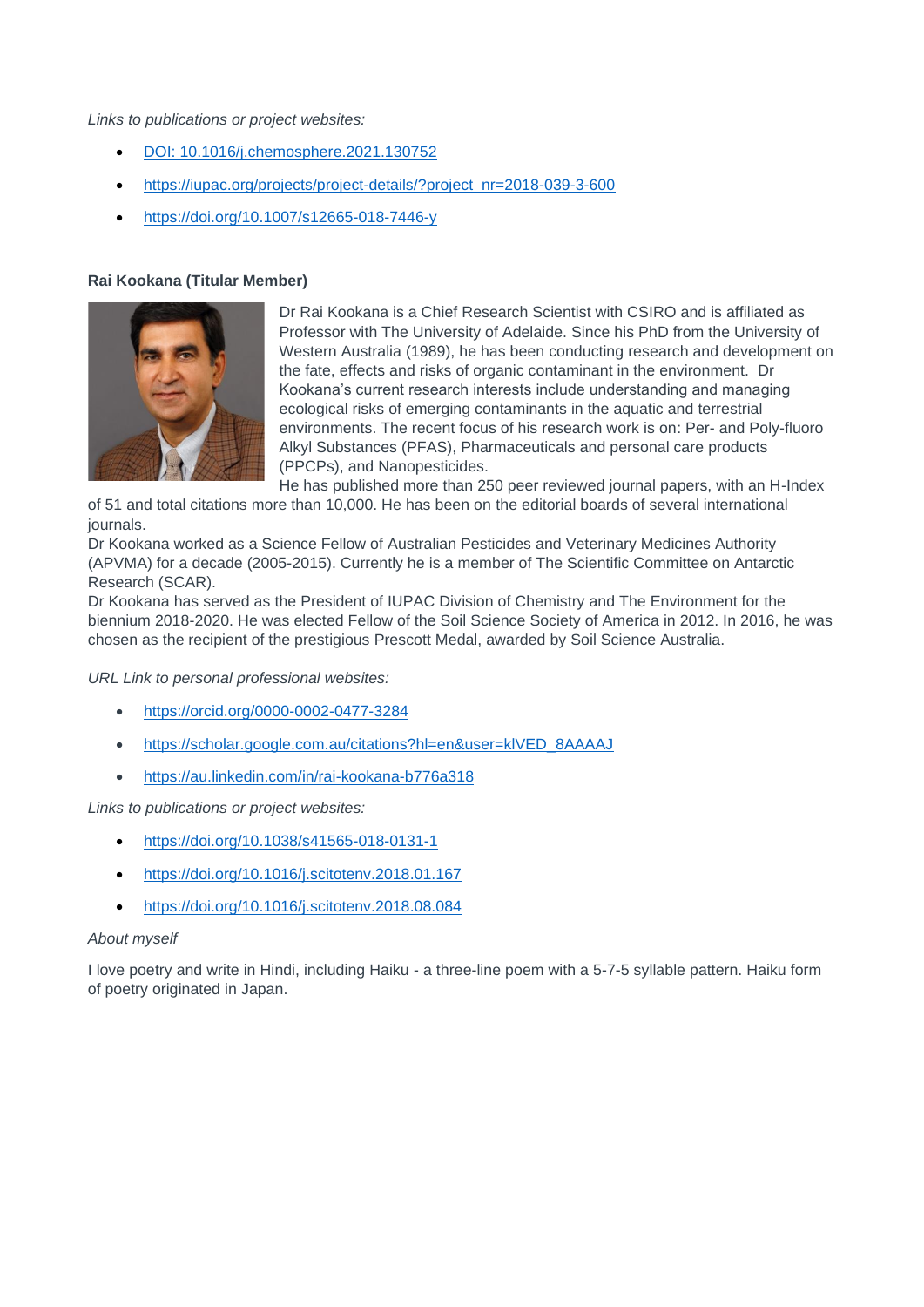*Links to publications or project websites:*

- DOI: 10.1016/j.chemosphere.2021.130752
- [https://iupac.org/projects/project-details/?project\\_nr=2018-039-3-600](https://iupac.org/projects/project-details/?project_nr=2018-039-3-600)
- <https://doi.org/10.1007/s12665-018-7446-y>

# **Rai Kookana (Titular Member)**



Dr Rai Kookana is a Chief Research Scientist with CSIRO and is affiliated as Professor with The University of Adelaide. Since his PhD from the University of Western Australia (1989), he has been conducting research and development on the fate, effects and risks of organic contaminant in the environment. Dr Kookana's current research interests include understanding and managing ecological risks of emerging contaminants in the aquatic and terrestrial environments. The recent focus of his research work is on: Per- and Poly-fluoro Alkyl Substances (PFAS), Pharmaceuticals and personal care products (PPCPs), and Nanopesticides.

He has published more than 250 peer reviewed journal papers, with an H-Index

of 51 and total citations more than 10,000. He has been on the editorial boards of several international journals.

Dr Kookana worked as a Science Fellow of Australian Pesticides and Veterinary Medicines Authority (APVMA) for a decade (2005-2015). Currently he is a member of The Scientific Committee on Antarctic Research (SCAR).

Dr Kookana has served as the President of IUPAC Division of Chemistry and The Environment for the biennium 2018-2020. He was elected Fellow of the Soil Science Society of America in 2012. In 2016, he was chosen as the recipient of the prestigious Prescott Medal, awarded by Soil Science Australia.

*URL Link to personal professional websites:* 

- <https://orcid.org/0000-0002-0477-3284>
- [https://scholar.google.com.au/citations?hl=en&user=klVED\\_8AAAAJ](https://scholar.google.com.au/citations?hl=en&user=klVED_8AAAAJ)
- <https://au.linkedin.com/in/rai-kookana-b776a318>

*Links to publications or project websites:*

- <https://doi.org/10.1038/s41565-018-0131-1>
- <https://doi.org/10.1016/j.scitotenv.2018.01.167>
- <https://doi.org/10.1016/j.scitotenv.2018.08.084>

#### *About myself*

I love poetry and write in Hindi, including Haiku - a three-line poem with a 5-7-5 syllable pattern. Haiku form of poetry originated in Japan.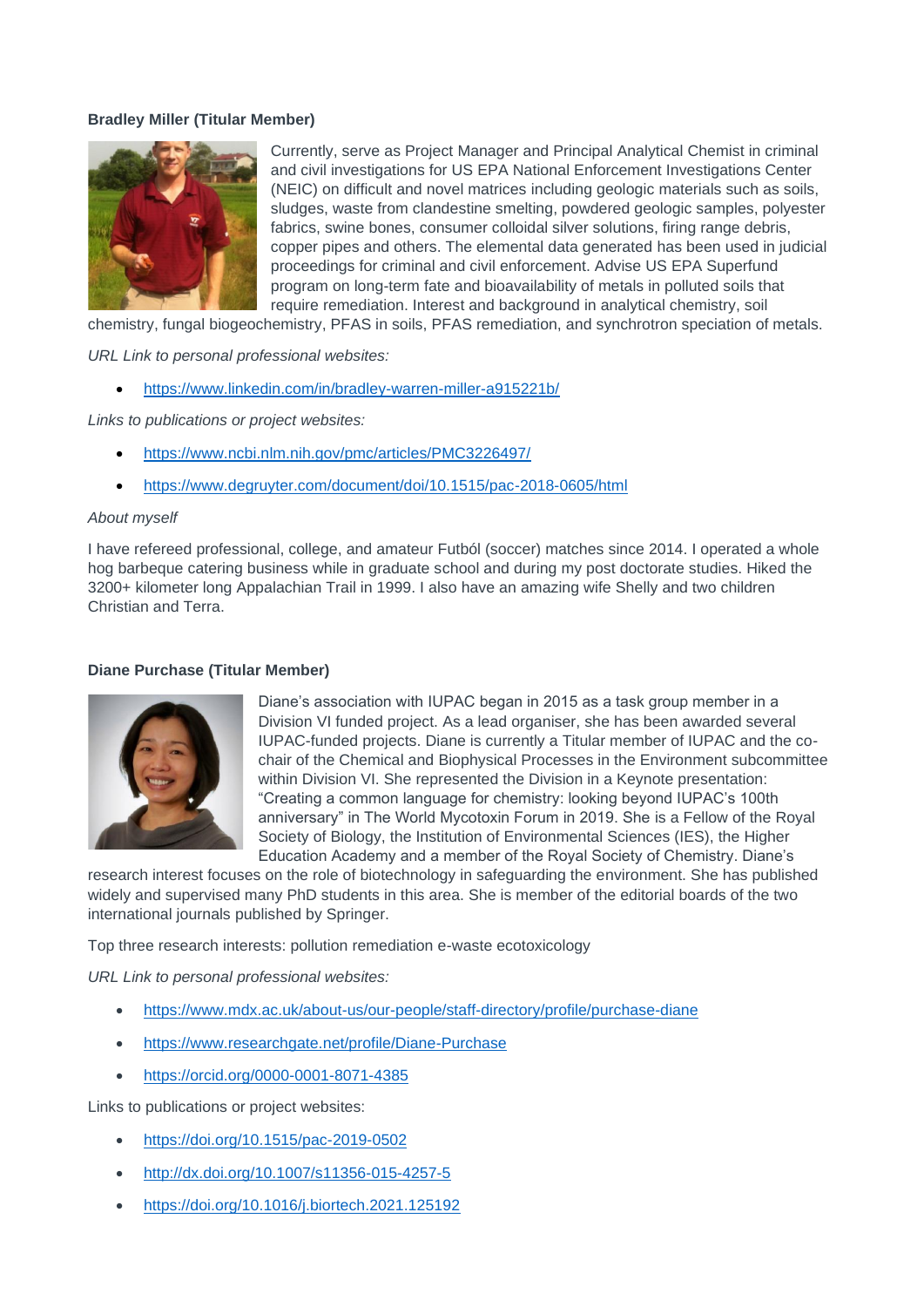# **Bradley Miller (Titular Member)**



Currently, serve as Project Manager and Principal Analytical Chemist in criminal and civil investigations for US EPA National Enforcement Investigations Center (NEIC) on difficult and novel matrices including geologic materials such as soils, sludges, waste from clandestine smelting, powdered geologic samples, polyester fabrics, swine bones, consumer colloidal silver solutions, firing range debris, copper pipes and others. The elemental data generated has been used in judicial proceedings for criminal and civil enforcement. Advise US EPA Superfund program on long-term fate and bioavailability of metals in polluted soils that require remediation. Interest and background in analytical chemistry, soil

chemistry, fungal biogeochemistry, PFAS in soils, PFAS remediation, and synchrotron speciation of metals.

*URL Link to personal professional websites:* 

• <https://www.linkedin.com/in/bradley-warren-miller-a915221b/>

*Links to publications or project websites:*

- <https://www.ncbi.nlm.nih.gov/pmc/articles/PMC3226497/>
- <https://www.degruyter.com/document/doi/10.1515/pac-2018-0605/html>

#### *About myself*

I have refereed professional, college, and amateur Futból (soccer) matches since 2014. I operated a whole hog barbeque catering business while in graduate school and during my post doctorate studies. Hiked the 3200+ kilometer long Appalachian Trail in 1999. I also have an amazing wife Shelly and two children Christian and Terra.

#### **Diane Purchase (Titular Member)**



Diane's association with IUPAC began in 2015 as a task group member in a Division VI funded project. As a lead organiser, she has been awarded several IUPAC-funded projects. Diane is currently a Titular member of IUPAC and the cochair of the Chemical and Biophysical Processes in the Environment subcommittee within Division VI. She represented the Division in a Keynote presentation: "Creating a common language for chemistry: looking beyond IUPAC's 100th anniversary" in The World Mycotoxin Forum in 2019. She is a Fellow of the Royal Society of Biology, the Institution of Environmental Sciences (IES), the Higher Education Academy and a member of the Royal Society of Chemistry. Diane's

research interest focuses on the role of biotechnology in safeguarding the environment. She has published widely and supervised many PhD students in this area. She is member of the editorial boards of the two international journals published by Springer.

Top three research interests: pollution remediation e-waste ecotoxicology

*URL Link to personal professional websites:* 

- <https://www.mdx.ac.uk/about-us/our-people/staff-directory/profile/purchase-diane>
- <https://www.researchgate.net/profile/Diane-Purchase>
- <https://orcid.org/0000-0001-8071-4385>

- <https://doi.org/10.1515/pac-2019-0502>
- <http://dx.doi.org/10.1007/s11356-015-4257-5>
- <https://doi.org/10.1016/j.biortech.2021.125192>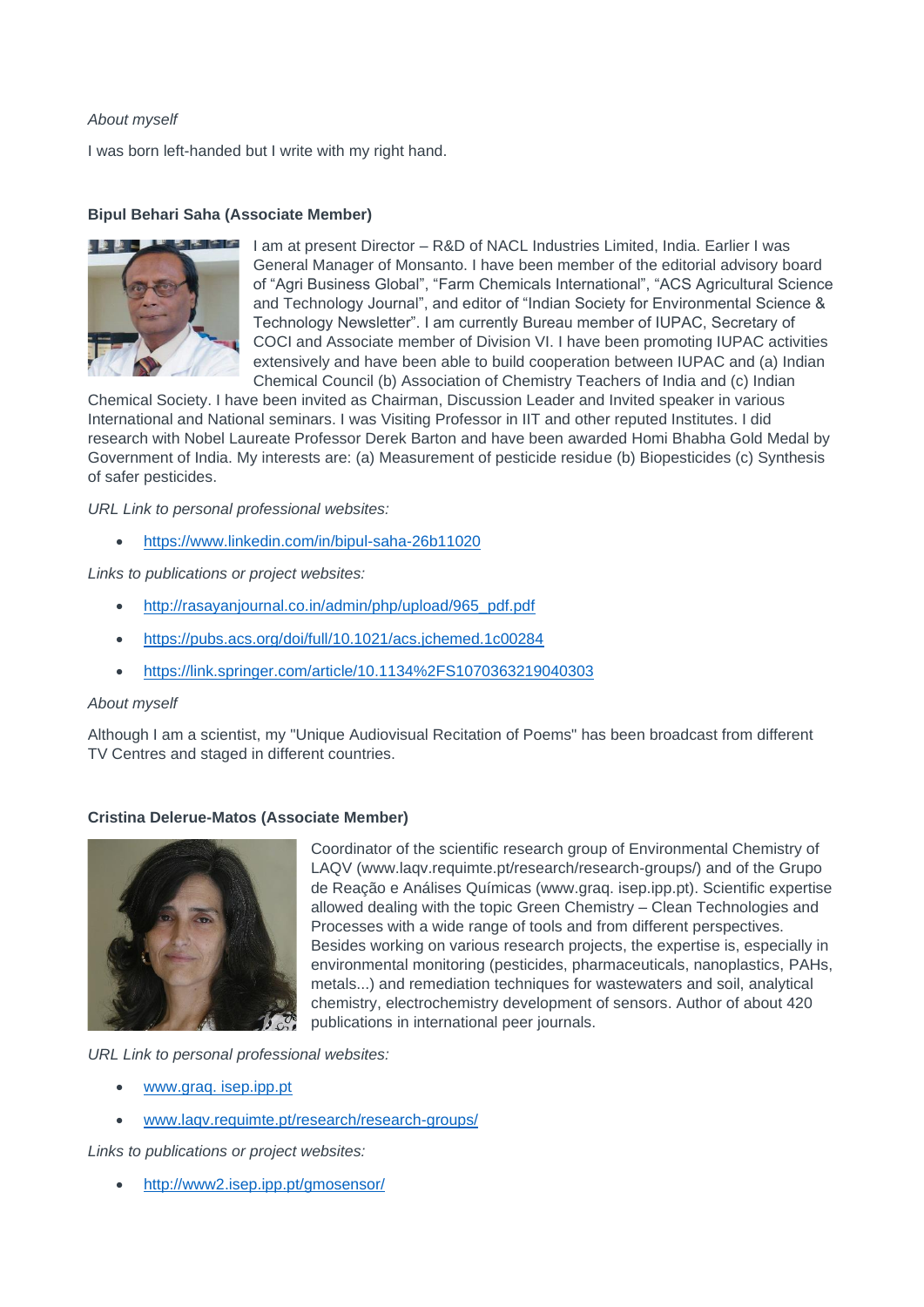# *About myself*

I was born left-handed but I write with my right hand.

# **Bipul Behari Saha (Associate Member)**



I am at present Director – R&D of NACL Industries Limited, India. Earlier I was General Manager of Monsanto. I have been member of the editorial advisory board of "Agri Business Global", "Farm Chemicals International", "ACS Agricultural Science and Technology Journal", and editor of "Indian Society for Environmental Science & Technology Newsletter". I am currently Bureau member of IUPAC, Secretary of COCI and Associate member of Division VI. I have been promoting IUPAC activities extensively and have been able to build cooperation between IUPAC and (a) Indian Chemical Council (b) Association of Chemistry Teachers of India and (c) Indian

Chemical Society. I have been invited as Chairman, Discussion Leader and Invited speaker in various International and National seminars. I was Visiting Professor in IIT and other reputed Institutes. I did research with Nobel Laureate Professor Derek Barton and have been awarded Homi Bhabha Gold Medal by Government of India. My interests are: (a) Measurement of pesticide residue (b) Biopesticides (c) Synthesis of safer pesticides.

*URL Link to personal professional websites:* 

• <https://www.linkedin.com/in/bipul-saha-26b11020>

*Links to publications or project websites:*

- [http://rasayanjournal.co.in/admin/php/upload/965\\_pdf.pdf](http://rasayanjournal.co.in/admin/php/upload/965_pdf.pdf)
- <https://pubs.acs.org/doi/full/10.1021/acs.jchemed.1c00284>
- <https://link.springer.com/article/10.1134%2FS1070363219040303>

# *About myself*

Although I am a scientist, my "Unique Audiovisual Recitation of Poems" has been broadcast from different TV Centres and staged in different countries.

#### **Cristina Delerue-Matos (Associate Member)**



Coordinator of the scientific research group of Environmental Chemistry of LAQV (www.laqv.requimte.pt/research/research-groups/) and of the Grupo de Reação e Análises Químicas (www.graq. isep.ipp.pt). Scientific expertise allowed dealing with the topic Green Chemistry – Clean Technologies and Processes with a wide range of tools and from different perspectives. Besides working on various research projects, the expertise is, especially in environmental monitoring (pesticides, pharmaceuticals, nanoplastics, PAHs, metals...) and remediation techniques for wastewaters and soil, analytical chemistry, electrochemistry development of sensors. Author of about 420 publications in international peer journals.

*URL Link to personal professional websites:* 

- [www.graq. isep.ipp.pt](file:///C:/Users/rober/Desktop/IUPAC/2021/Biosketches%202021/www.graq.%20isep.ipp.pt)
- [www.laqv.requimte.pt/research/research-groups/](http://www.laqv.requimte.pt/research/research-groups/)

*Links to publications or project websites:*

• <http://www2.isep.ipp.pt/gmosensor/>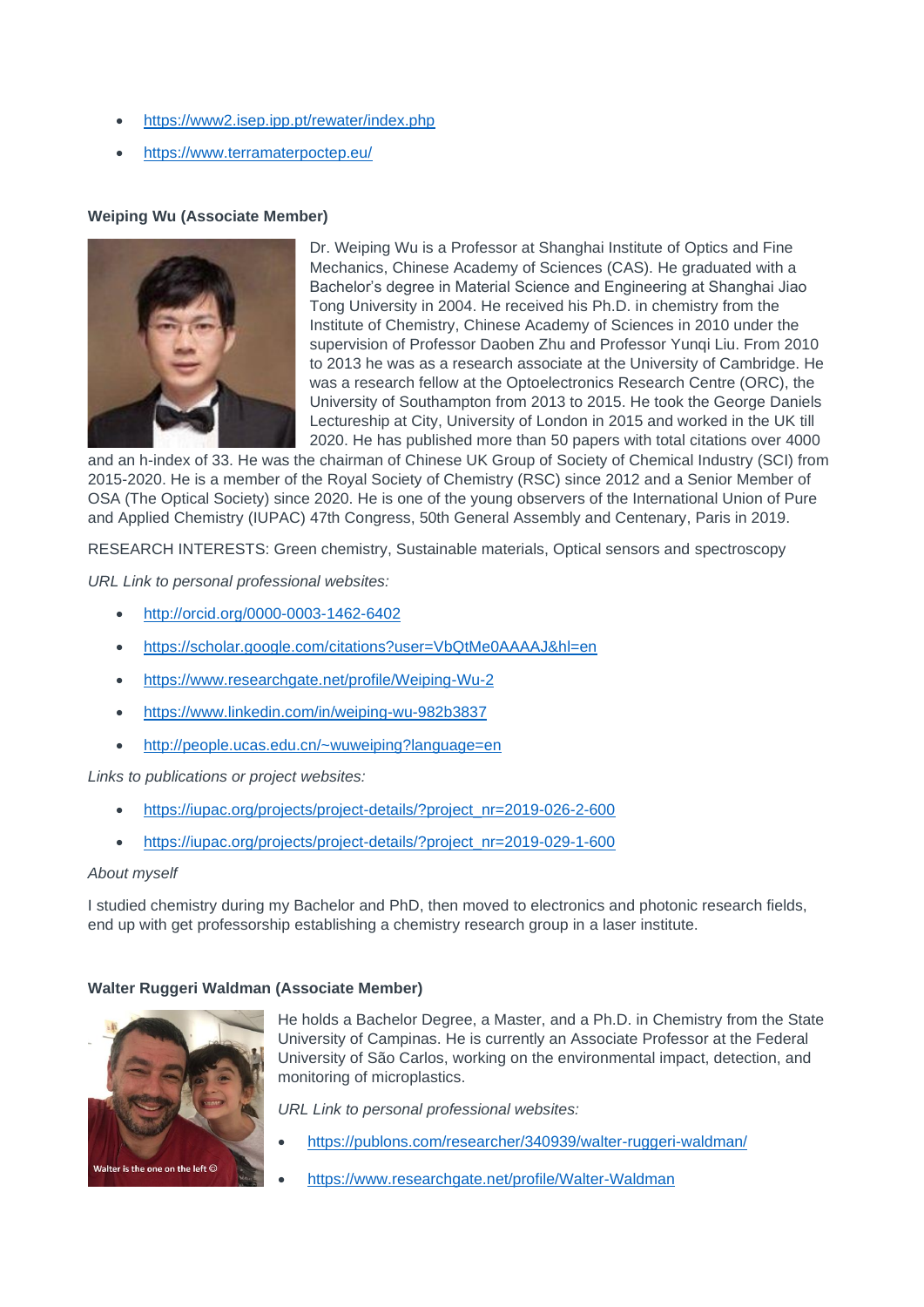- <https://www2.isep.ipp.pt/rewater/index.php>
- <https://www.terramaterpoctep.eu/>

# **Weiping Wu (Associate Member)**



Dr. Weiping Wu is a Professor at Shanghai Institute of Optics and Fine Mechanics, Chinese Academy of Sciences (CAS). He graduated with a Bachelor's degree in Material Science and Engineering at Shanghai Jiao Tong University in 2004. He received his Ph.D. in chemistry from the Institute of Chemistry, Chinese Academy of Sciences in 2010 under the supervision of Professor Daoben Zhu and Professor Yungi Liu. From 2010 to 2013 he was as a research associate at the University of Cambridge. He was a research fellow at the Optoelectronics Research Centre (ORC), the University of Southampton from 2013 to 2015. He took the George Daniels Lectureship at City, University of London in 2015 and worked in the UK till 2020. He has published more than 50 papers with total citations over 4000

and an h-index of 33. He was the chairman of Chinese UK Group of Society of Chemical Industry (SCI) from 2015-2020. He is a member of the Royal Society of Chemistry (RSC) since 2012 and a Senior Member of OSA (The Optical Society) since 2020. He is one of the young observers of the International Union of Pure and Applied Chemistry (IUPAC) 47th Congress, 50th General Assembly and Centenary, Paris in 2019.

RESEARCH INTERESTS: Green chemistry, Sustainable materials, Optical sensors and spectroscopy

*URL Link to personal professional websites:* 

- <http://orcid.org/0000-0003-1462-6402>
- <https://scholar.google.com/citations?user=VbQtMe0AAAAJ&hl=en>
- <https://www.researchgate.net/profile/Weiping-Wu-2>
- <https://www.linkedin.com/in/weiping-wu-982b3837>
- <http://people.ucas.edu.cn/~wuweiping?language=en>

*Links to publications or project websites:*

- [https://iupac.org/projects/project-details/?project\\_nr=2019-026-2-600](https://iupac.org/projects/project-details/?project_nr=2019-026-2-600)
- [https://iupac.org/projects/project-details/?project\\_nr=2019-029-1-600](https://iupac.org/projects/project-details/?project_nr=2019-029-1-600)

# *About myself*

I studied chemistry during my Bachelor and PhD, then moved to electronics and photonic research fields, end up with get professorship establishing a chemistry research group in a laser institute.

# **Walter Ruggeri Waldman (Associate Member)**



He holds a Bachelor Degree, a Master, and a Ph.D. in Chemistry from the State University of Campinas. He is currently an Associate Professor at the Federal University of São Carlos, working on the environmental impact, detection, and monitoring of microplastics.

- <https://publons.com/researcher/340939/walter-ruggeri-waldman/>
- <https://www.researchgate.net/profile/Walter-Waldman>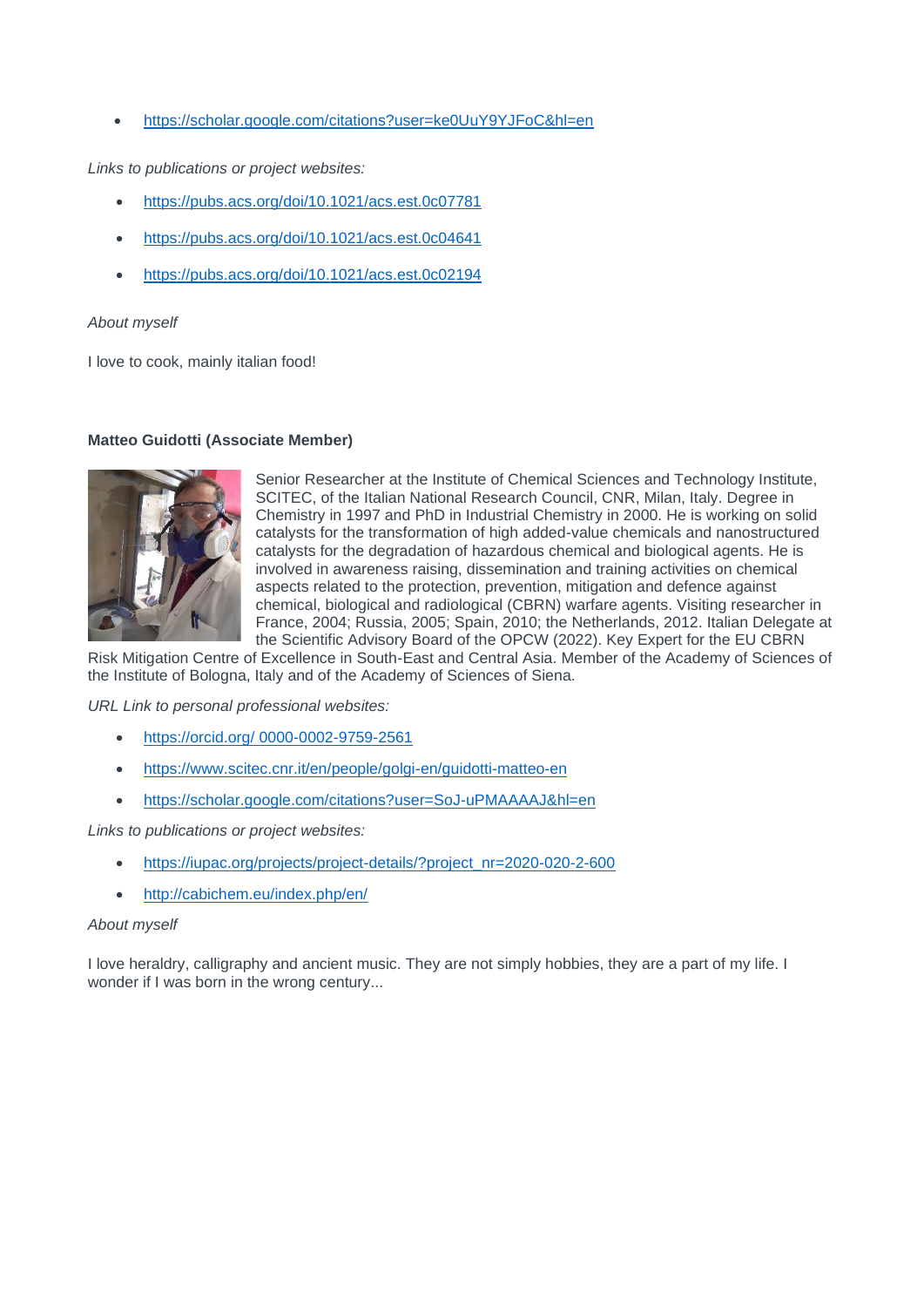• <https://scholar.google.com/citations?user=ke0UuY9YJFoC&hl=en>

*Links to publications or project websites:*

- <https://pubs.acs.org/doi/10.1021/acs.est.0c07781>
- <https://pubs.acs.org/doi/10.1021/acs.est.0c04641>
- <https://pubs.acs.org/doi/10.1021/acs.est.0c02194>

#### *About myself*

I love to cook, mainly italian food!

#### **Matteo Guidotti (Associate Member)**



Senior Researcher at the Institute of Chemical Sciences and Technology Institute, SCITEC, of the Italian National Research Council, CNR, Milan, Italy. Degree in Chemistry in 1997 and PhD in Industrial Chemistry in 2000. He is working on solid catalysts for the transformation of high added-value chemicals and nanostructured catalysts for the degradation of hazardous chemical and biological agents. He is involved in awareness raising, dissemination and training activities on chemical aspects related to the protection, prevention, mitigation and defence against chemical, biological and radiological (CBRN) warfare agents. Visiting researcher in France, 2004; Russia, 2005; Spain, 2010; the Netherlands, 2012. Italian Delegate at the Scientific Advisory Board of the OPCW (2022). Key Expert for the EU CBRN

Risk Mitigation Centre of Excellence in South-East and Central Asia. Member of the Academy of Sciences of the Institute of Bologna, Italy and of the Academy of Sciences of Siena.

*URL Link to personal professional websites:* 

- [https://orcid.org/ 0000-0002-9759-2561](https://orcid.org/%200000-0002-9759-2561)
- <https://www.scitec.cnr.it/en/people/golgi-en/guidotti-matteo-en>
- <https://scholar.google.com/citations?user=SoJ-uPMAAAAJ&hl=en>

*Links to publications or project websites:*

- [https://iupac.org/projects/project-details/?project\\_nr=2020-020-2-600](https://iupac.org/projects/project-details/?project_nr=2020-020-2-600)
- <http://cabichem.eu/index.php/en/>

#### *About myself*

I love heraldry, calligraphy and ancient music. They are not simply hobbies, they are a part of my life. I wonder if I was born in the wrong century...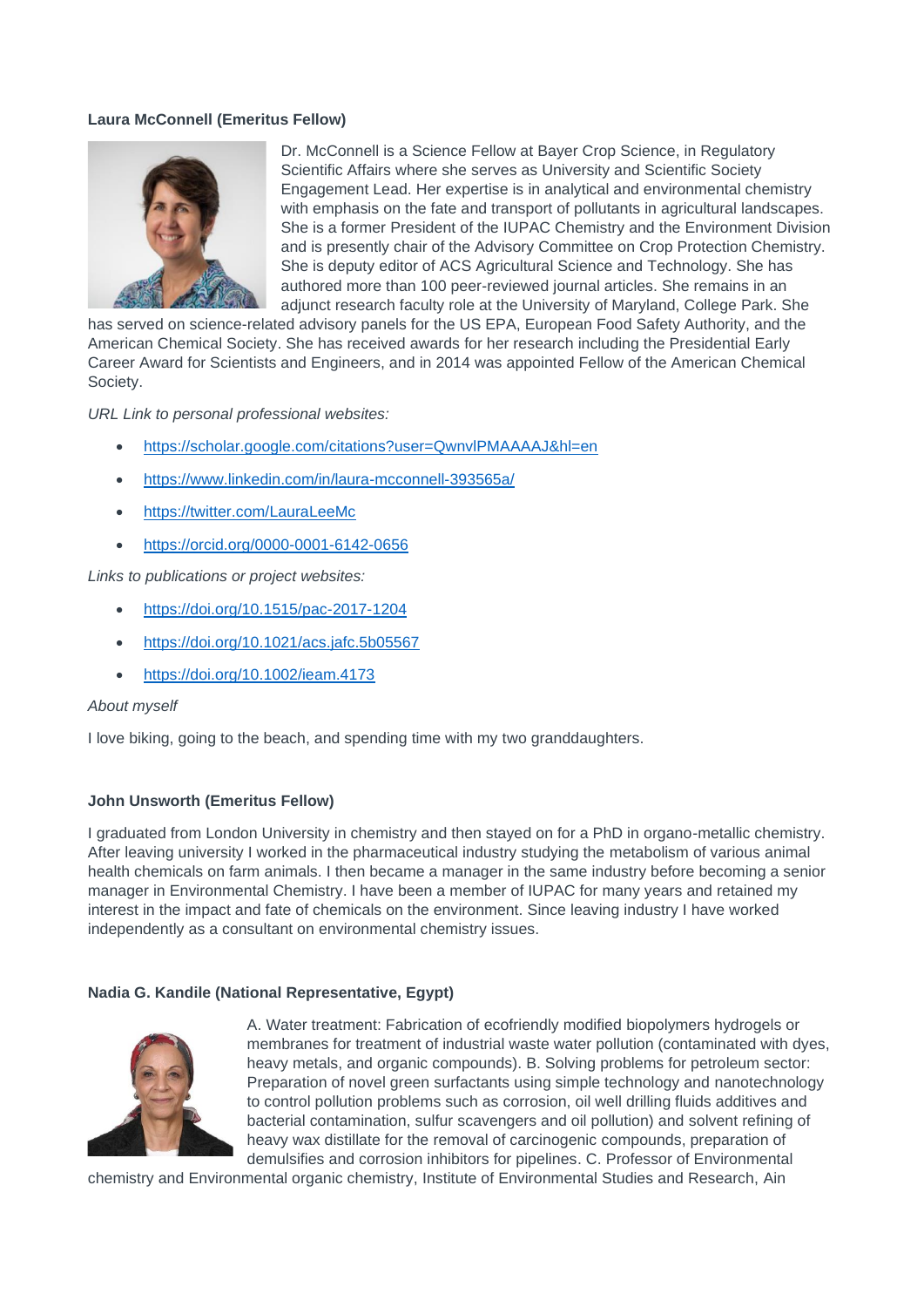# **Laura McConnell (Emeritus Fellow)**



Dr. McConnell is a Science Fellow at Bayer Crop Science, in Regulatory Scientific Affairs where she serves as University and Scientific Society Engagement Lead. Her expertise is in analytical and environmental chemistry with emphasis on the fate and transport of pollutants in agricultural landscapes. She is a former President of the IUPAC Chemistry and the Environment Division and is presently chair of the Advisory Committee on Crop Protection Chemistry. She is deputy editor of ACS Agricultural Science and Technology. She has authored more than 100 peer-reviewed journal articles. She remains in an adjunct research faculty role at the University of Maryland, College Park. She

has served on science-related advisory panels for the US EPA, European Food Safety Authority, and the American Chemical Society. She has received awards for her research including the Presidential Early Career Award for Scientists and Engineers, and in 2014 was appointed Fellow of the American Chemical Society.

*URL Link to personal professional websites:* 

- <https://scholar.google.com/citations?user=QwnvlPMAAAAJ&hl=en>
- <https://www.linkedin.com/in/laura-mcconnell-393565a/>
- <https://twitter.com/LauraLeeMc>
- <https://orcid.org/0000-0001-6142-0656>

*Links to publications or project websites:*

- <https://doi.org/10.1515/pac-2017-1204>
- <https://doi.org/10.1021/acs.jafc.5b05567>
- <https://doi.org/10.1002/ieam.4173>

#### *About myself*

I love biking, going to the beach, and spending time with my two granddaughters.

#### **John Unsworth (Emeritus Fellow)**

I graduated from London University in chemistry and then stayed on for a PhD in organo-metallic chemistry. After leaving university I worked in the pharmaceutical industry studying the metabolism of various animal health chemicals on farm animals. I then became a manager in the same industry before becoming a senior manager in Environmental Chemistry. I have been a member of IUPAC for many years and retained my interest in the impact and fate of chemicals on the environment. Since leaving industry I have worked independently as a consultant on environmental chemistry issues.

#### **Nadia G. Kandile (National Representative, Egypt)**



A. Water treatment: Fabrication of ecofriendly modified biopolymers hydrogels or membranes for treatment of industrial waste water pollution (contaminated with dyes, heavy metals, and organic compounds). B. Solving problems for petroleum sector: Preparation of novel green surfactants using simple technology and nanotechnology to control pollution problems such as corrosion, oil well drilling fluids additives and bacterial contamination, sulfur scavengers and oil pollution) and solvent refining of heavy wax distillate for the removal of carcinogenic compounds, preparation of demulsifies and corrosion inhibitors for pipelines. C. Professor of Environmental

chemistry and Environmental organic chemistry, Institute of Environmental Studies and Research, Ain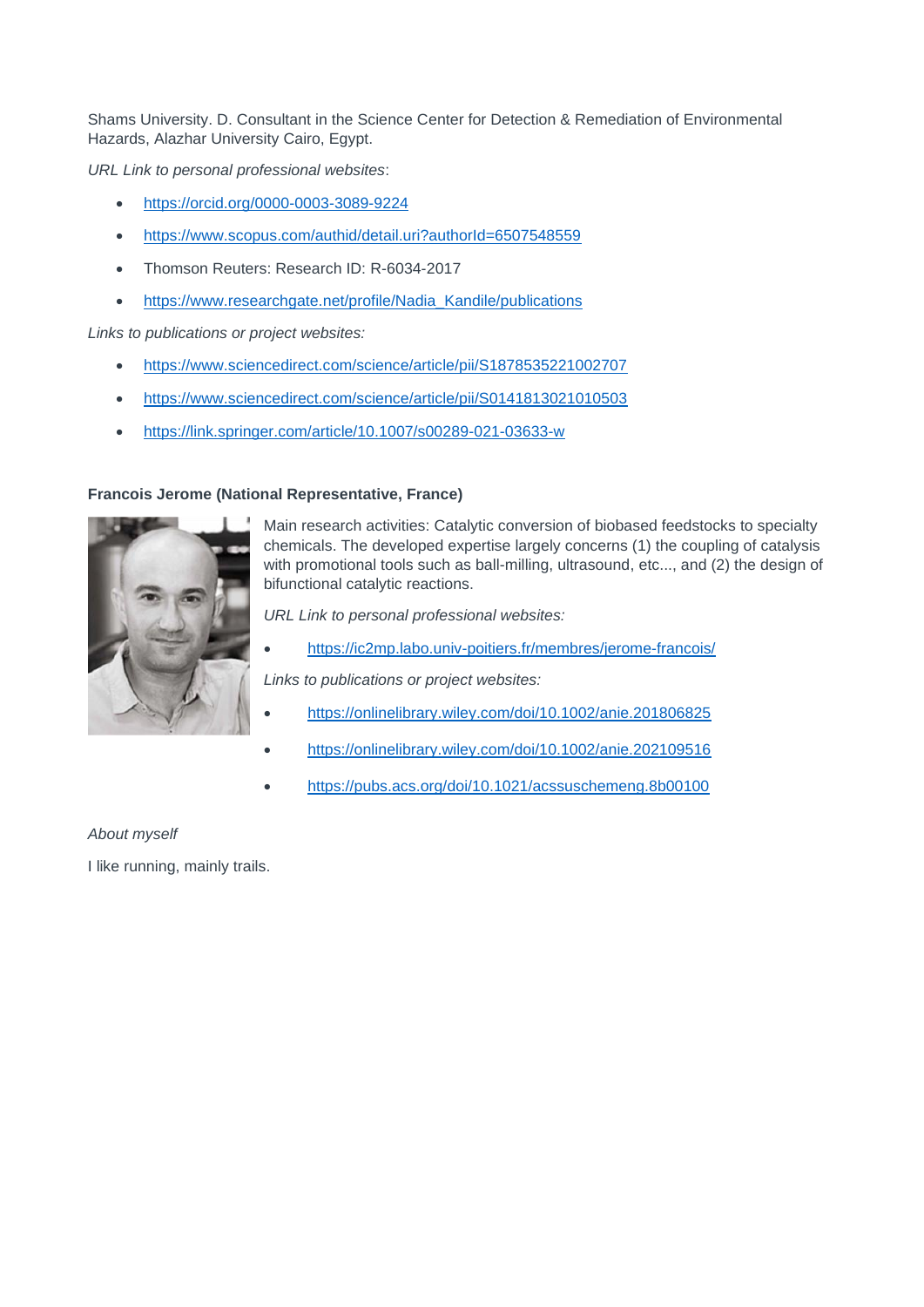Shams University. D. Consultant in the Science Center for Detection & Remediation of Environmental Hazards, Alazhar University Cairo, Egypt.

*URL Link to personal professional websites*:

- <https://orcid.org/0000-0003-3089-9224>
- <https://www.scopus.com/authid/detail.uri?authorId=6507548559>
- Thomson Reuters: Research ID: R-6034-2017

**Francois Jerome (National Representative, France)**

• https://www.researchgate.net/profile/Nadia Kandile/publications

*Links to publications or project websites:*

- <https://www.sciencedirect.com/science/article/pii/S1878535221002707>
- <https://www.sciencedirect.com/science/article/pii/S0141813021010503>
- <https://link.springer.com/article/10.1007/s00289-021-03633-w>

Main research activities: Catalytic conversion of biobased feedstocks to specialty chemicals. The developed expertise largely concerns (1) the coupling of catalysis with promotional tools such as ball-milling, ultrasound, etc..., and (2) the design of bifunctional catalytic reactions.

*URL Link to personal professional websites:* 

• <https://ic2mp.labo.univ-poitiers.fr/membres/jerome-francois/>

*Links to publications or project websites:*

- <https://onlinelibrary.wiley.com/doi/10.1002/anie.201806825>
- <https://onlinelibrary.wiley.com/doi/10.1002/anie.202109516>
- <https://pubs.acs.org/doi/10.1021/acssuschemeng.8b00100>

# *About myself*

I like running, mainly trails.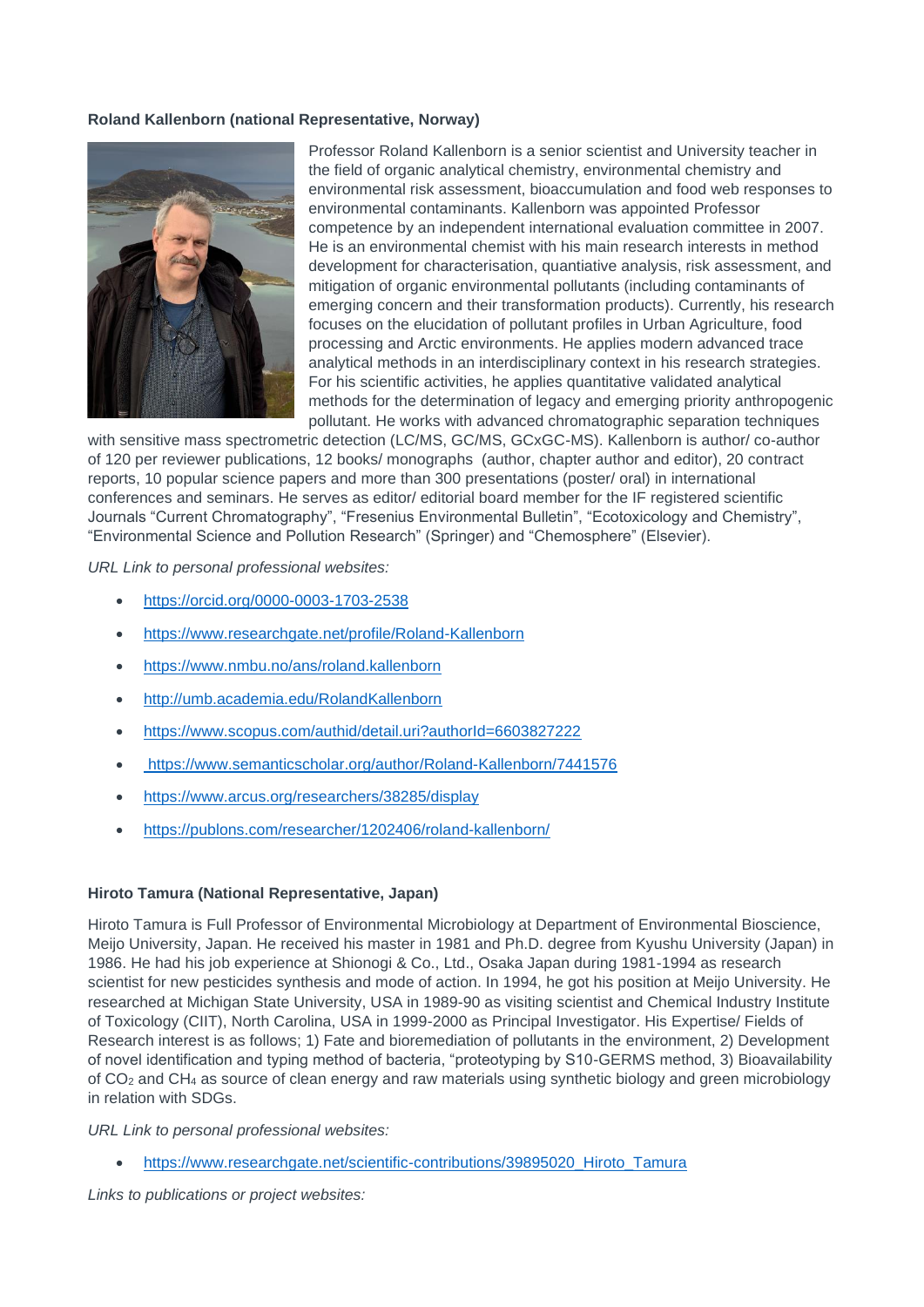# **Roland Kallenborn (national Representative, Norway)**



Professor Roland Kallenborn is a senior scientist and University teacher in the field of organic analytical chemistry, environmental chemistry and environmental risk assessment, bioaccumulation and food web responses to environmental contaminants. Kallenborn was appointed Professor competence by an independent international evaluation committee in 2007. He is an environmental chemist with his main research interests in method development for characterisation, quantiative analysis, risk assessment, and mitigation of organic environmental pollutants (including contaminants of emerging concern and their transformation products). Currently, his research focuses on the elucidation of pollutant profiles in Urban Agriculture, food processing and Arctic environments. He applies modern advanced trace analytical methods in an interdisciplinary context in his research strategies. For his scientific activities, he applies quantitative validated analytical methods for the determination of legacy and emerging priority anthropogenic pollutant. He works with advanced chromatographic separation techniques

with sensitive mass spectrometric detection (LC/MS, GC/MS, GCxGC-MS). Kallenborn is author/ co-author of 120 per reviewer publications, 12 books/ monographs (author, chapter author and editor), 20 contract reports, 10 popular science papers and more than 300 presentations (poster/ oral) in international conferences and seminars. He serves as editor/ editorial board member for the IF registered scientific Journals "Current Chromatography", "Fresenius Environmental Bulletin", "Ecotoxicology and Chemistry", "Environmental Science and Pollution Research" (Springer) and "Chemosphere" (Elsevier).

*URL Link to personal professional websites:* 

- <https://orcid.org/0000-0003-1703-2538>
- <https://www.researchgate.net/profile/Roland-Kallenborn>
- <https://www.nmbu.no/ans/roland.kallenborn>
- [http://umb.academia.edu/RolandKallenborn](https://umb.academia.edu/RolandKallenborn)
- <https://www.scopus.com/authid/detail.uri?authorId=6603827222>
- <https://www.semanticscholar.org/author/Roland-Kallenborn/7441576>
- <https://www.arcus.org/researchers/38285/display>
- <https://publons.com/researcher/1202406/roland-kallenborn/>

#### **Hiroto Tamura (National Representative, Japan)**

Hiroto Tamura is Full Professor of Environmental Microbiology at Department of Environmental Bioscience, Meijo University, Japan. He received his master in 1981 and Ph.D. degree from Kyushu University (Japan) in 1986. He had his job experience at Shionogi & Co., Ltd., Osaka Japan during 1981-1994 as research scientist for new pesticides synthesis and mode of action. In 1994, he got his position at Meijo University. He researched at Michigan State University, USA in 1989-90 as visiting scientist and Chemical Industry Institute of Toxicology (CIIT), North Carolina, USA in 1999-2000 as Principal Investigator. His Expertise/ Fields of Research interest is as follows; 1) Fate and bioremediation of pollutants in the environment, 2) Development of novel identification and typing method of bacteria, "proteotyping by S10-GERMS method, 3) Bioavailability of CO<sup>2</sup> and CH<sup>4</sup> as source of clean energy and raw materials using synthetic biology and green microbiology in relation with SDGs.

*URL Link to personal professional websites:* 

• [https://www.researchgate.net/scientific-contributions/39895020\\_Hiroto\\_Tamura](https://www.researchgate.net/scientific-contributions/39895020_Hiroto_Tamura)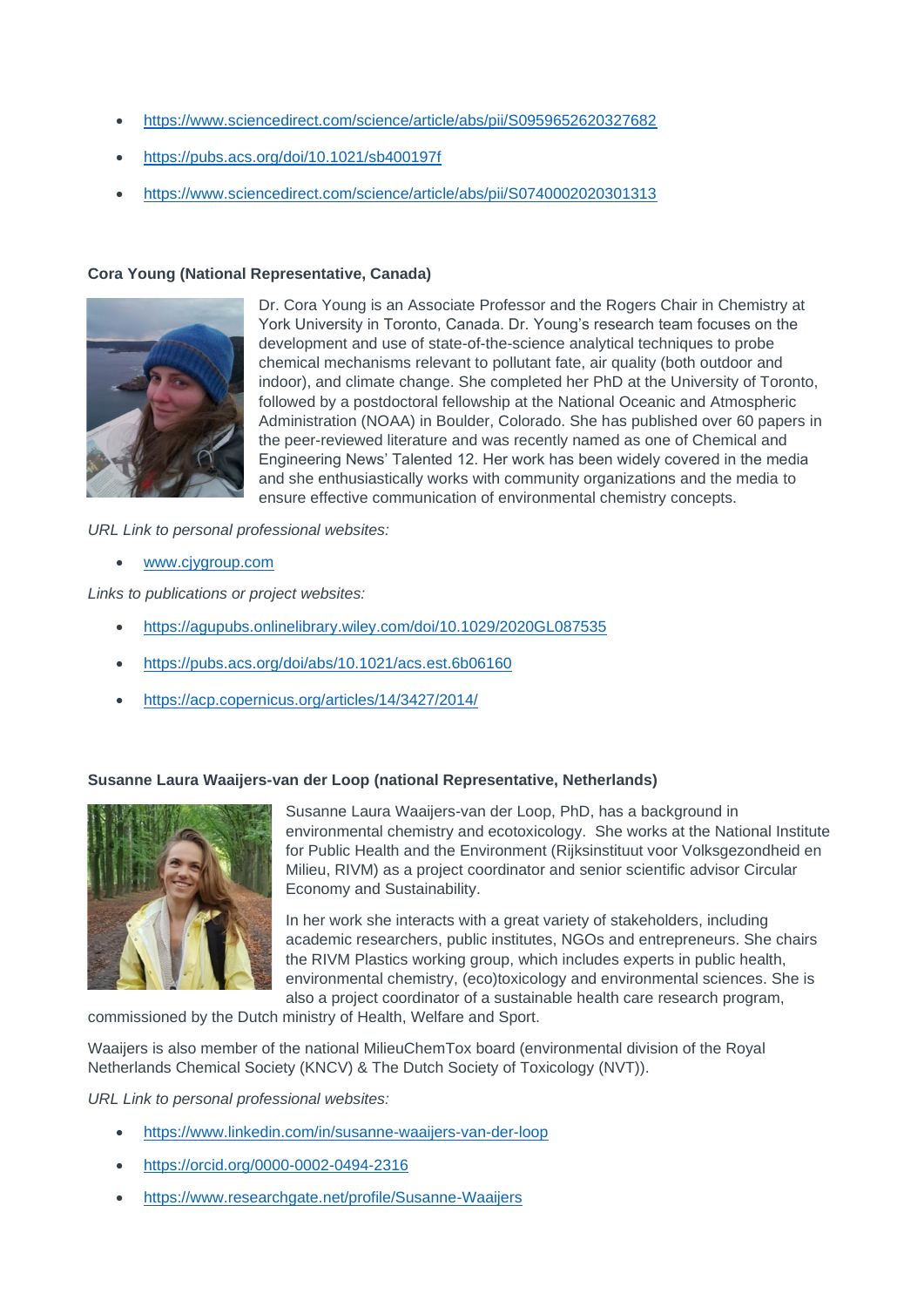- <https://www.sciencedirect.com/science/article/abs/pii/S0959652620327682>
- <https://pubs.acs.org/doi/10.1021/sb400197f>
- <https://www.sciencedirect.com/science/article/abs/pii/S0740002020301313>

#### **Cora Young (National Representative, Canada)**



Dr. Cora Young is an Associate Professor and the Rogers Chair in Chemistry at York University in Toronto, Canada. Dr. Young's research team focuses on the development and use of state-of-the-science analytical techniques to probe chemical mechanisms relevant to pollutant fate, air quality (both outdoor and indoor), and climate change. She completed her PhD at the University of Toronto, followed by a postdoctoral fellowship at the National Oceanic and Atmospheric Administration (NOAA) in Boulder, Colorado. She has published over 60 papers in the peer-reviewed literature and was recently named as one of Chemical and Engineering News' Talented 12. Her work has been widely covered in the media and she enthusiastically works with community organizations and the media to ensure effective communication of environmental chemistry concepts.

*URL Link to personal professional websites:* 

• [www.cjygroup.com](http://www.cjygroup.com/)

*Links to publications or project websites:*

- <https://agupubs.onlinelibrary.wiley.com/doi/10.1029/2020GL087535>
- <https://pubs.acs.org/doi/abs/10.1021/acs.est.6b06160>
- <https://acp.copernicus.org/articles/14/3427/2014/>

#### **Susanne Laura Waaijers-van der Loop (national Representative, Netherlands)**



Susanne Laura Waaijers-van der Loop, PhD, has a background in environmental chemistry and ecotoxicology. She works at the National Institute for Public Health and the Environment (Rijksinstituut voor Volksgezondheid en Milieu, RIVM) as a project coordinator and senior scientific advisor Circular Economy and Sustainability.

In her work she interacts with a great variety of stakeholders, including academic researchers, public institutes, NGOs and entrepreneurs. She chairs the RIVM Plastics working group, which includes experts in public health, environmental chemistry, (eco)toxicology and environmental sciences. She is also a project coordinator of a sustainable health care research program,

commissioned by the Dutch ministry of Health, Welfare and Sport.

Waaijers is also member of the national MilieuChemTox board (environmental division of the Royal Netherlands Chemical Society (KNCV) & The Dutch Society of Toxicology (NVT)).

- <https://www.linkedin.com/in/susanne-waaijers-van-der-loop>
- <https://orcid.org/0000-0002-0494-2316>
- <https://www.researchgate.net/profile/Susanne-Waaijers>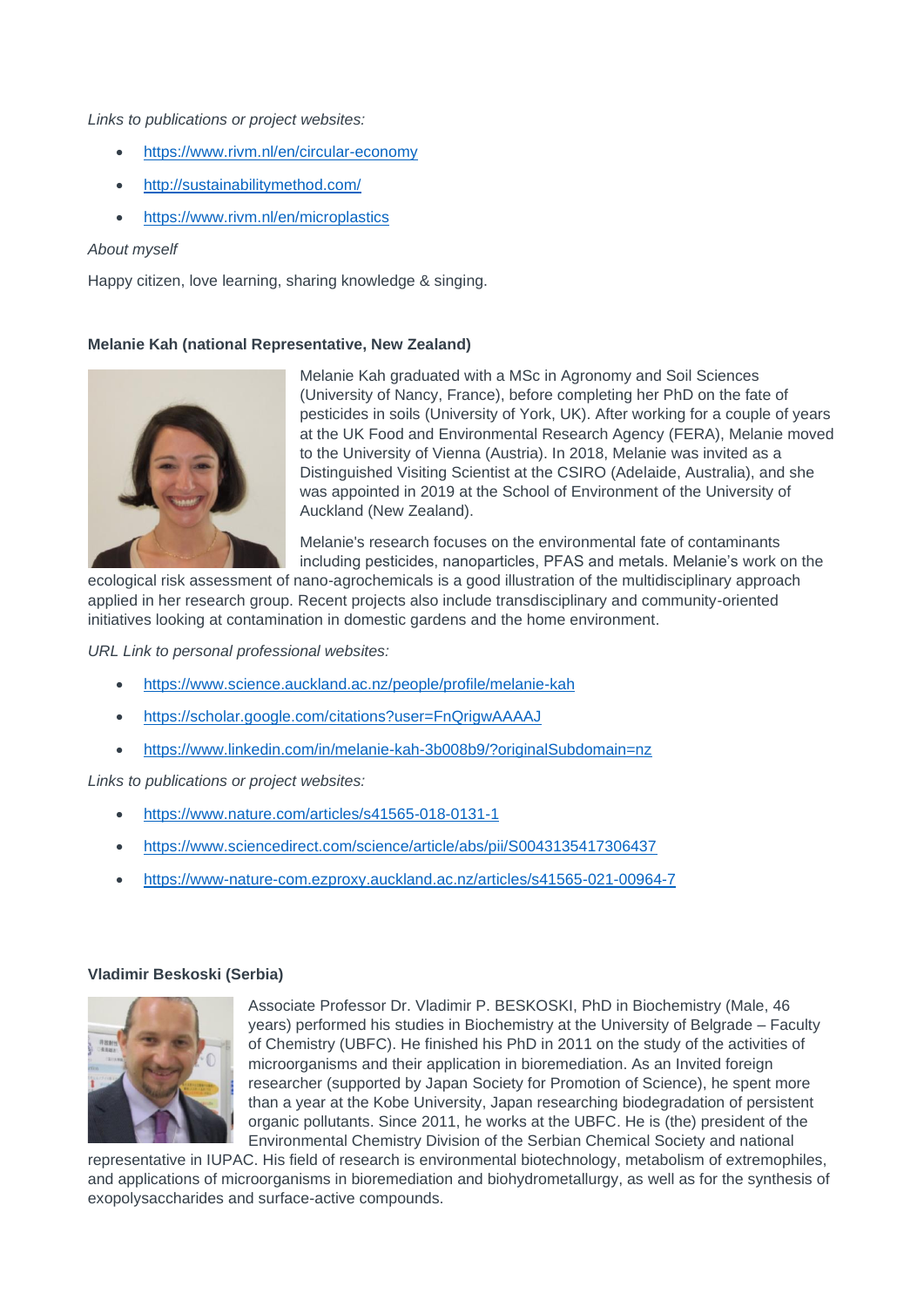#### *Links to publications or project websites:*

- <https://www.rivm.nl/en/circular-economy>
- <http://sustainabilitymethod.com/>
- <https://www.rivm.nl/en/microplastics>

#### *About myself*

Happy citizen, love learning, sharing knowledge & singing.

#### **Melanie Kah (national Representative, New Zealand)**



Melanie Kah graduated with a MSc in Agronomy and Soil Sciences (University of Nancy, France), before completing her PhD on the fate of pesticides in soils (University of York, UK). After working for a couple of years at the UK Food and Environmental Research Agency (FERA), Melanie moved to the University of Vienna (Austria). In 2018, Melanie was invited as a Distinguished Visiting Scientist at the CSIRO (Adelaide, Australia), and she was appointed in 2019 at the School of Environment of the University of Auckland (New Zealand).

Melanie's research focuses on the environmental fate of contaminants including pesticides, nanoparticles, PFAS and metals. Melanie's work on the

ecological risk assessment of nano-agrochemicals is a good illustration of the multidisciplinary approach applied in her research group. Recent projects also include transdisciplinary and community-oriented initiatives looking at contamination in domestic gardens and the home environment.

*URL Link to personal professional websites:* 

- <https://www.science.auckland.ac.nz/people/profile/melanie-kah>
- <https://scholar.google.com/citations?user=FnQrigwAAAAJ>
- <https://www.linkedin.com/in/melanie-kah-3b008b9/?originalSubdomain=nz>

*Links to publications or project websites:*

- <https://www.nature.com/articles/s41565-018-0131-1>
- <https://www.sciencedirect.com/science/article/abs/pii/S0043135417306437>
- <https://www-nature-com.ezproxy.auckland.ac.nz/articles/s41565-021-00964-7>

#### **Vladimir Beskoski (Serbia)**



Associate Professor Dr. Vladimir P. BESKOSKI, PhD in Biochemistry (Male, 46 years) performed his studies in Biochemistry at the University of Belgrade – Faculty of Chemistry (UBFC). He finished his PhD in 2011 on the study of the activities of microorganisms and their application in bioremediation. As an Invited foreign researcher (supported by Japan Society for Promotion of Science), he spent more than a year at the Kobe University, Japan researching biodegradation of persistent organic pollutants. Since 2011, he works at the UBFC. He is (the) president of the Environmental Chemistry Division of the Serbian Chemical Society and national

representative in IUPAC. His field of research is environmental biotechnology, metabolism of extremophiles, and applications of microorganisms in bioremediation and biohydrometallurgy, as well as for the synthesis of exopolysaccharides and surface-active compounds.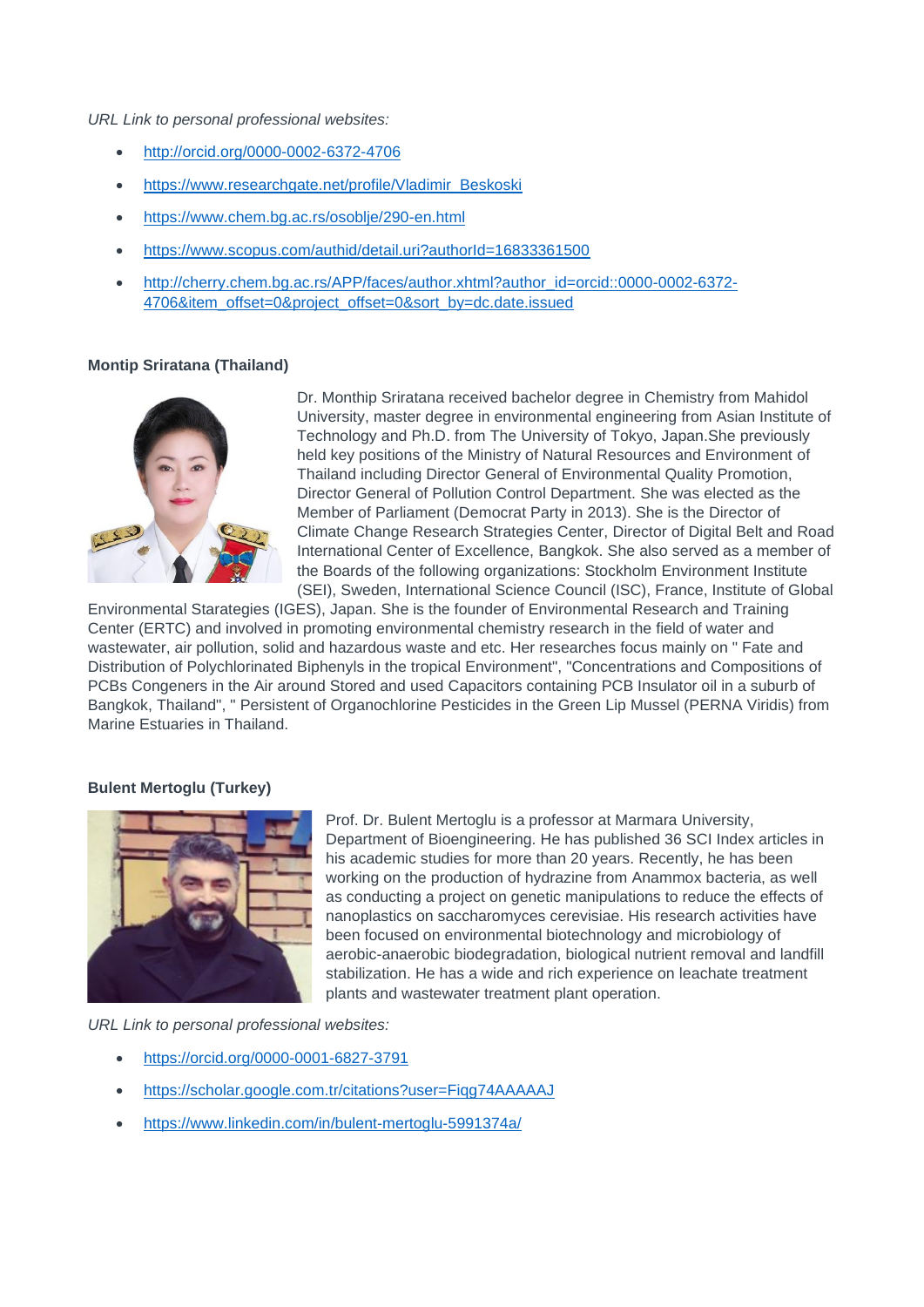#### *URL Link to personal professional websites:*

- <http://orcid.org/0000-0002-6372-4706>
- [https://www.researchgate.net/profile/Vladimir\\_Beskoski](https://www.researchgate.net/profile/Vladimir_Beskoski)
- https://www.chem.bg.ac.rs/osoblie/290-en.html
- <https://www.scopus.com/authid/detail.uri?authorId=16833361500>
- [http://cherry.chem.bg.ac.rs/APP/faces/author.xhtml?author\\_id=orcid::0000-0002-6372-](http://cherry.chem.bg.ac.rs/APP/faces/author.xhtml?author_id=orcid::0000-0002-6372-4706&item_offset=0&project_offset=0&sort_by=dc.date.issued) [4706&item\\_offset=0&project\\_offset=0&sort\\_by=dc.date.issued](http://cherry.chem.bg.ac.rs/APP/faces/author.xhtml?author_id=orcid::0000-0002-6372-4706&item_offset=0&project_offset=0&sort_by=dc.date.issued)

## **Montip Sriratana (Thailand)**



Dr. Monthip Sriratana received bachelor degree in Chemistry from Mahidol University, master degree in environmental engineering from Asian Institute of Technology and Ph.D. from The University of Tokyo, Japan.She previously held key positions of the Ministry of Natural Resources and Environment of Thailand including Director General of Environmental Quality Promotion, Director General of Pollution Control Department. She was elected as the Member of Parliament (Democrat Party in 2013). She is the Director of Climate Change Research Strategies Center, Director of Digital Belt and Road International Center of Excellence, Bangkok. She also served as a member of the Boards of the following organizations: Stockholm Environment Institute (SEI), Sweden, International Science Council (ISC), France, Institute of Global

Environmental Starategies (IGES), Japan. She is the founder of Environmental Research and Training Center (ERTC) and involved in promoting environmental chemistry research in the field of water and wastewater, air pollution, solid and hazardous waste and etc. Her researches focus mainly on " Fate and Distribution of Polychlorinated Biphenyls in the tropical Environment", "Concentrations and Compositions of PCBs Congeners in the Air around Stored and used Capacitors containing PCB Insulator oil in a suburb of Bangkok, Thailand", " Persistent of Organochlorine Pesticides in the Green Lip Mussel (PERNA Viridis) from Marine Estuaries in Thailand.

#### **Bulent Mertoglu (Turkey)**



Prof. Dr. Bulent Mertoglu is a professor at Marmara University, Department of Bioengineering. He has published 36 SCI Index articles in his academic studies for more than 20 years. Recently, he has been working on the production of hydrazine from Anammox bacteria, as well as conducting a project on genetic manipulations to reduce the effects of nanoplastics on saccharomyces cerevisiae. His research activities have been focused on environmental biotechnology and microbiology of aerobic-anaerobic biodegradation, biological nutrient removal and landfill stabilization. He has a wide and rich experience on leachate treatment plants and wastewater treatment plant operation.

- <https://orcid.org/0000-0001-6827-3791>
- <https://scholar.google.com.tr/citations?user=Fiqg74AAAAAJ>
- <https://www.linkedin.com/in/bulent-mertoglu-5991374a/>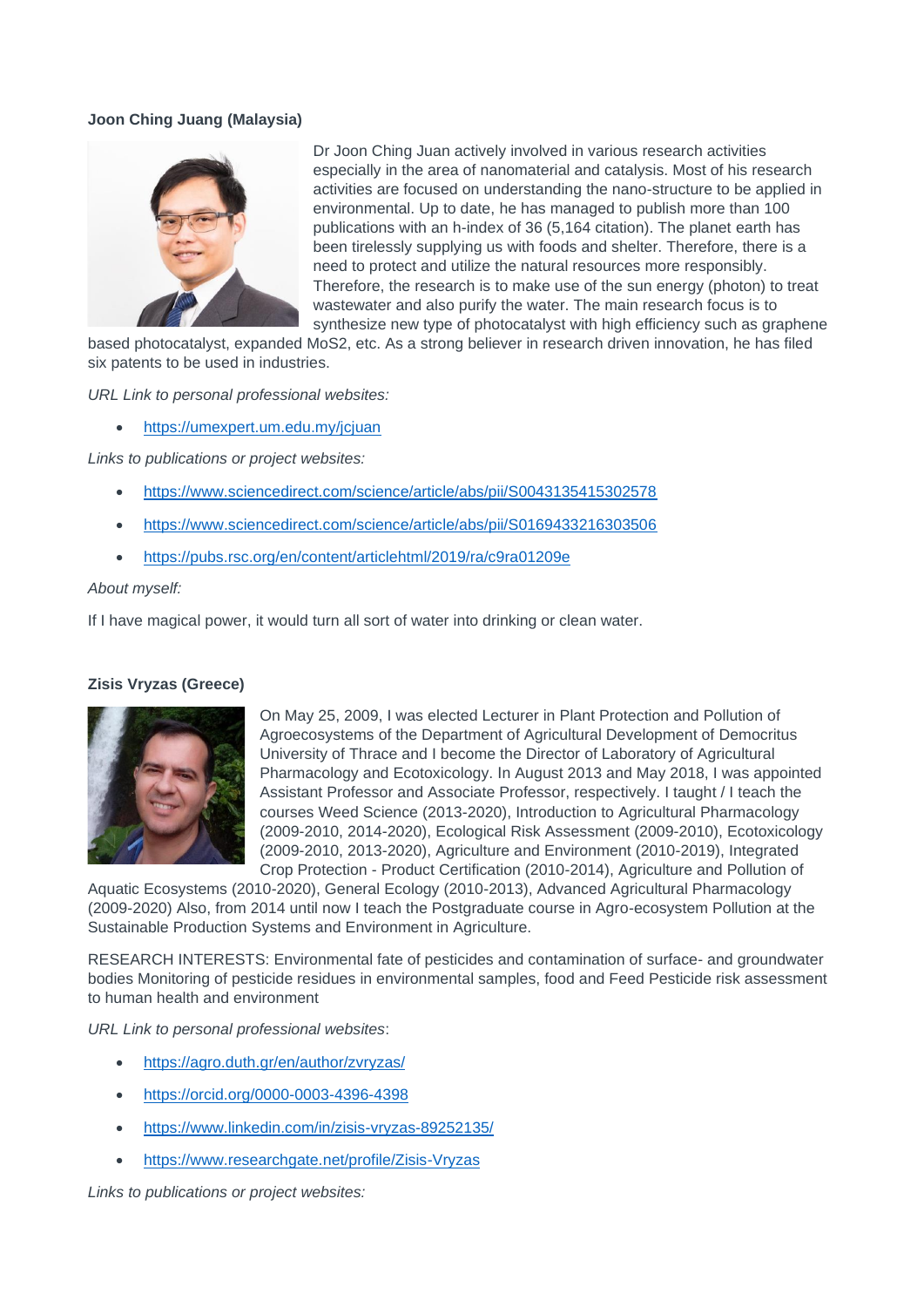# **Joon Ching Juang (Malaysia)**



Dr Joon Ching Juan actively involved in various research activities especially in the area of nanomaterial and catalysis. Most of his research activities are focused on understanding the nano-structure to be applied in environmental. Up to date, he has managed to publish more than 100 publications with an h-index of 36 (5,164 citation). The planet earth has been tirelessly supplying us with foods and shelter. Therefore, there is a need to protect and utilize the natural resources more responsibly. Therefore, the research is to make use of the sun energy (photon) to treat wastewater and also purify the water. The main research focus is to synthesize new type of photocatalyst with high efficiency such as graphene

based photocatalyst, expanded MoS2, etc. As a strong believer in research driven innovation, he has filed six patents to be used in industries.

*URL Link to personal professional websites:* 

• <https://umexpert.um.edu.my/jcjuan>

*Links to publications or project websites:*

- <https://www.sciencedirect.com/science/article/abs/pii/S0043135415302578>
- <https://www.sciencedirect.com/science/article/abs/pii/S0169433216303506>
- <https://pubs.rsc.org/en/content/articlehtml/2019/ra/c9ra01209e>

#### *About myself:*

If I have magical power, it would turn all sort of water into drinking or clean water.

#### **Zisis Vryzas (Greece)**



On May 25, 2009, I was elected Lecturer in Plant Protection and Pollution of Agroecosystems of the Department of Agricultural Development of Democritus University of Thrace and I become the Director of Laboratory of Agricultural Pharmacology and Ecotoxicology. Ιn August 2013 and May 2018, I was appointed Assistant Professor and Associate Professor, respectively. I taught / I teach the courses Weed Science (2013-2020), Introduction to Agricultural Pharmacology (2009-2010, 2014-2020), Ecological Risk Assessment (2009-2010), Ecotoxicology (2009-2010, 2013-2020), Agriculture and Environment (2010-2019), Integrated Crop Protection - Product Certification (2010-2014), Agriculture and Pollution of

Aquatic Ecosystems (2010-2020), General Ecology (2010-2013), Advanced Agricultural Pharmacology (2009-2020) Also, from 2014 until now I teach the Postgraduate course in Agro-ecosystem Pollution at the Sustainable Production Systems and Environment in Agriculture.

RESEARCH INTERESTS: Environmental fate of pesticides and contamination of surface- and groundwater bodies Monitoring of pesticide residues in environmental samples, food and Feed Pesticide risk assessment to human health and environment

*URL Link to personal professional websites*:

- <https://agro.duth.gr/en/author/zvryzas/>
- <https://orcid.org/0000-0003-4396-4398>
- <https://www.linkedin.com/in/zisis-vryzas-89252135/>
- <https://www.researchgate.net/profile/Zisis-Vryzas>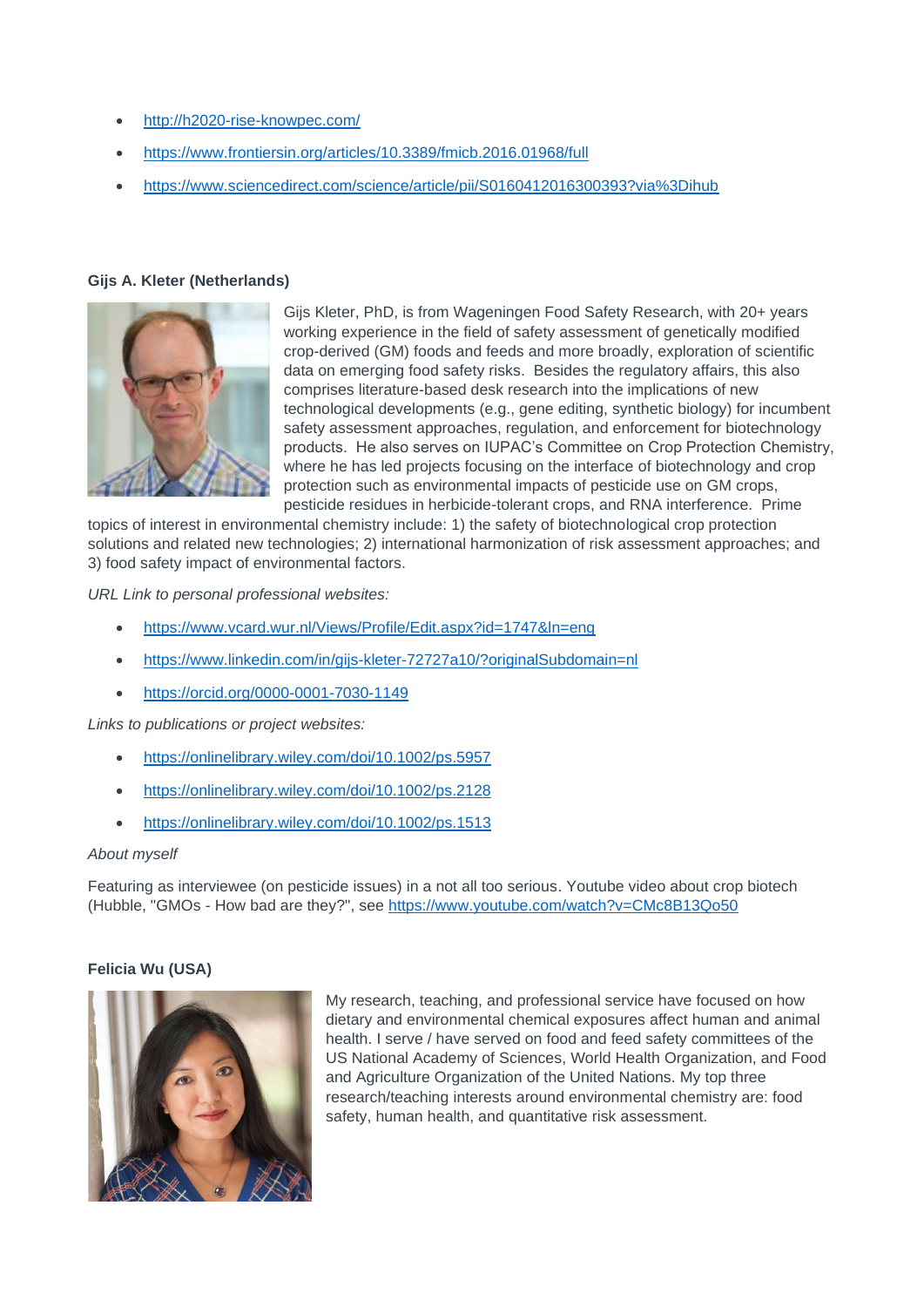- <http://h2020-rise-knowpec.com/>
- <https://www.frontiersin.org/articles/10.3389/fmicb.2016.01968/full>
- <https://www.sciencedirect.com/science/article/pii/S0160412016300393?via%3Dihub>

# **Gijs A. Kleter (Netherlands)**



Gijs Kleter, PhD, is from Wageningen Food Safety Research, with 20+ years working experience in the field of safety assessment of genetically modified crop-derived (GM) foods and feeds and more broadly, exploration of scientific data on emerging food safety risks. Besides the regulatory affairs, this also comprises literature-based desk research into the implications of new technological developments (e.g., gene editing, synthetic biology) for incumbent safety assessment approaches, regulation, and enforcement for biotechnology products. He also serves on IUPAC's Committee on Crop Protection Chemistry, where he has led projects focusing on the interface of biotechnology and crop protection such as environmental impacts of pesticide use on GM crops, pesticide residues in herbicide-tolerant crops, and RNA interference. Prime

topics of interest in environmental chemistry include: 1) the safety of biotechnological crop protection solutions and related new technologies; 2) international harmonization of risk assessment approaches; and 3) food safety impact of environmental factors.

*URL Link to personal professional websites:* 

- <https://www.vcard.wur.nl/Views/Profile/Edit.aspx?id=1747&ln=eng>
- <https://www.linkedin.com/in/gijs-kleter-72727a10/?originalSubdomain=nl>
- <https://orcid.org/0000-0001-7030-1149>

*Links to publications or project websites:*

- <https://onlinelibrary.wiley.com/doi/10.1002/ps.5957>
- <https://onlinelibrary.wiley.com/doi/10.1002/ps.2128>
- <https://onlinelibrary.wiley.com/doi/10.1002/ps.1513>

#### *About myself*

Featuring as interviewee (on pesticide issues) in a not all too serious. Youtube video about crop biotech (Hubble, "GMOs - How bad are they?", see<https://www.youtube.com/watch?v=CMc8B13Qo50>

# **Felicia Wu (USA)**



My research, teaching, and professional service have focused on how dietary and environmental chemical exposures affect human and animal health. I serve / have served on food and feed safety committees of the US National Academy of Sciences, World Health Organization, and Food and Agriculture Organization of the United Nations. My top three research/teaching interests around environmental chemistry are: food safety, human health, and quantitative risk assessment.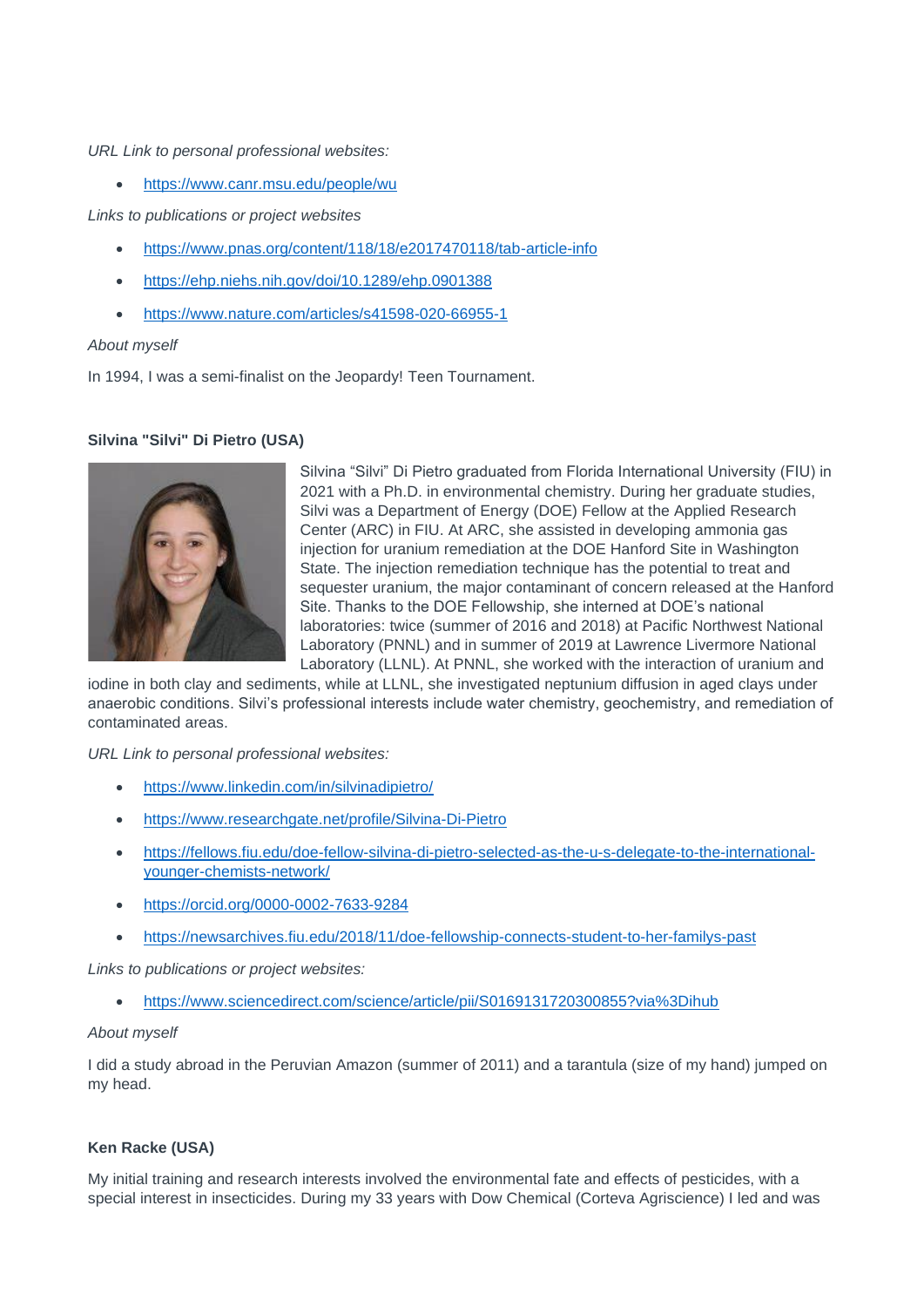*URL Link to personal professional websites:* 

• <https://www.canr.msu.edu/people/wu>

*Links to publications or project websites*

- <https://www.pnas.org/content/118/18/e2017470118/tab-article-info>
- <https://ehp.niehs.nih.gov/doi/10.1289/ehp.0901388>
- <https://www.nature.com/articles/s41598-020-66955-1>

## *About myself*

In 1994, I was a semi-finalist on the Jeopardy! Teen Tournament.

# **Silvina "Silvi" Di Pietro (USA)**



Silvina "Silvi" Di Pietro graduated from Florida International University (FIU) in 2021 with a Ph.D. in environmental chemistry. During her graduate studies, Silvi was a Department of Energy (DOE) Fellow at the Applied Research Center (ARC) in FIU. At ARC, she assisted in developing ammonia gas injection for uranium remediation at the DOE Hanford Site in Washington State. The injection remediation technique has the potential to treat and sequester uranium, the major contaminant of concern released at the Hanford Site. Thanks to the DOE Fellowship, she interned at DOE's national laboratories: twice (summer of 2016 and 2018) at Pacific Northwest National Laboratory (PNNL) and in summer of 2019 at Lawrence Livermore National Laboratory (LLNL). At PNNL, she worked with the interaction of uranium and

iodine in both clay and sediments, while at LLNL, she investigated neptunium diffusion in aged clays under anaerobic conditions. Silvi's professional interests include water chemistry, geochemistry, and remediation of contaminated areas.

*URL Link to personal professional websites:* 

- <https://www.linkedin.com/in/silvinadipietro/>
- <https://www.researchgate.net/profile/Silvina-Di-Pietro>
- [https://fellows.fiu.edu/doe-fellow-silvina-di-pietro-selected-as-the-u-s-delegate-to-the-international](https://fellows.fiu.edu/doe-fellow-silvina-di-pietro-selected-as-the-u-s-delegate-to-the-international-younger-chemists-network/)[younger-chemists-network/](https://fellows.fiu.edu/doe-fellow-silvina-di-pietro-selected-as-the-u-s-delegate-to-the-international-younger-chemists-network/)
- <https://orcid.org/0000-0002-7633-9284>
- <https://newsarchives.fiu.edu/2018/11/doe-fellowship-connects-student-to-her-familys-past>

*Links to publications or project websites:*

• <https://www.sciencedirect.com/science/article/pii/S0169131720300855?via%3Dihub>

#### *About myself*

I did a study abroad in the Peruvian Amazon (summer of 2011) and a tarantula (size of my hand) jumped on my head.

# **Ken Racke (USA)**

My initial training and research interests involved the environmental fate and effects of pesticides, with a special interest in insecticides. During my 33 years with Dow Chemical (Corteva Agriscience) I led and was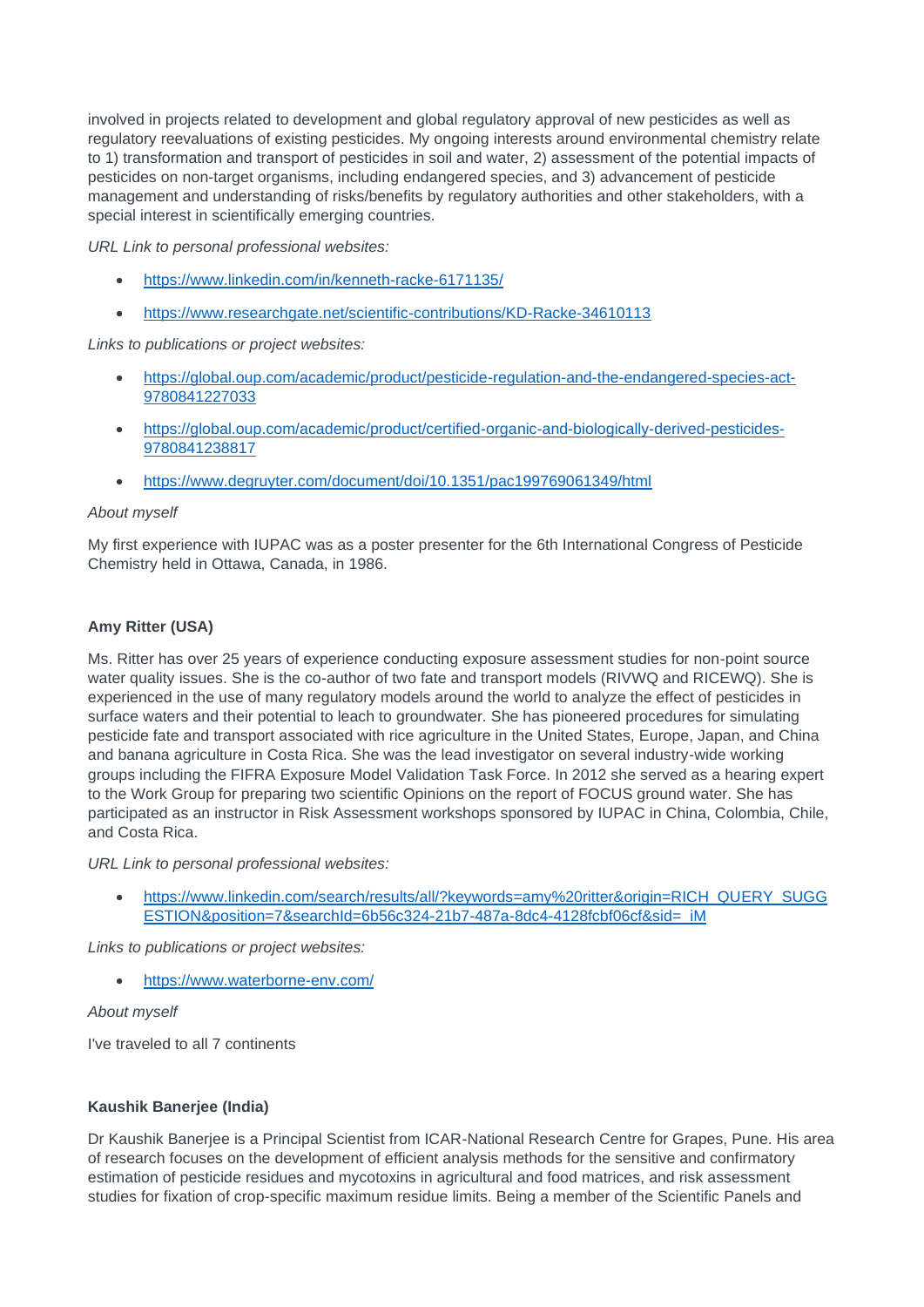involved in projects related to development and global regulatory approval of new pesticides as well as regulatory reevaluations of existing pesticides. My ongoing interests around environmental chemistry relate to 1) transformation and transport of pesticides in soil and water, 2) assessment of the potential impacts of pesticides on non-target organisms, including endangered species, and 3) advancement of pesticide management and understanding of risks/benefits by regulatory authorities and other stakeholders, with a special interest in scientifically emerging countries.

*URL Link to personal professional websites:* 

- <https://www.linkedin.com/in/kenneth-racke-6171135/>
- <https://www.researchgate.net/scientific-contributions/KD-Racke-34610113>

*Links to publications or project websites:*

- [https://global.oup.com/academic/product/pesticide-regulation-and-the-endangered-species-act-](https://global.oup.com/academic/product/pesticide-regulation-and-the-endangered-species-act-9780841227033)[9780841227033](https://global.oup.com/academic/product/pesticide-regulation-and-the-endangered-species-act-9780841227033)
- [https://global.oup.com/academic/product/certified-organic-and-biologically-derived-pesticides-](https://global.oup.com/academic/product/certified-organic-and-biologically-derived-pesticides-9780841238817)[9780841238817](https://global.oup.com/academic/product/certified-organic-and-biologically-derived-pesticides-9780841238817)
- <https://www.degruyter.com/document/doi/10.1351/pac199769061349/html>

# *About myself*

My first experience with IUPAC was as a poster presenter for the 6th International Congress of Pesticide Chemistry held in Ottawa, Canada, in 1986.

# **Amy Ritter (USA)**

Ms. Ritter has over 25 years of experience conducting exposure assessment studies for non-point source water quality issues. She is the co-author of two fate and transport models (RIVWQ and RICEWQ). She is experienced in the use of many regulatory models around the world to analyze the effect of pesticides in surface waters and their potential to leach to groundwater. She has pioneered procedures for simulating pesticide fate and transport associated with rice agriculture in the United States, Europe, Japan, and China and banana agriculture in Costa Rica. She was the lead investigator on several industry-wide working groups including the FIFRA Exposure Model Validation Task Force. In 2012 she served as a hearing expert to the Work Group for preparing two scientific Opinions on the report of FOCUS ground water. She has participated as an instructor in Risk Assessment workshops sponsored by IUPAC in China, Colombia, Chile, and Costa Rica.

*URL Link to personal professional websites:* 

• [https://www.linkedin.com/search/results/all/?keywords=amy%20ritter&origin=RICH\\_QUERY\\_SUGG](https://www.linkedin.com/search/results/all/?keywords=amy%20ritter&origin=RICH_QUERY_SUGGESTION&position=7&searchId=6b56c324-21b7-487a-8dc4-4128fcbf06cf&sid=_iM) [ESTION&position=7&searchId=6b56c324-21b7-487a-8dc4-4128fcbf06cf&sid=\\_iM](https://www.linkedin.com/search/results/all/?keywords=amy%20ritter&origin=RICH_QUERY_SUGGESTION&position=7&searchId=6b56c324-21b7-487a-8dc4-4128fcbf06cf&sid=_iM)

*Links to publications or project websites:*

• <https://www.waterborne-env.com/>

*About myself*

I've traveled to all 7 continents

# **Kaushik Banerjee (India)**

Dr Kaushik Banerjee is a Principal Scientist from ICAR-National Research Centre for Grapes, Pune. His area of research focuses on the development of efficient analysis methods for the sensitive and confirmatory estimation of pesticide residues and mycotoxins in agricultural and food matrices, and risk assessment studies for fixation of crop-specific maximum residue limits. Being a member of the Scientific Panels and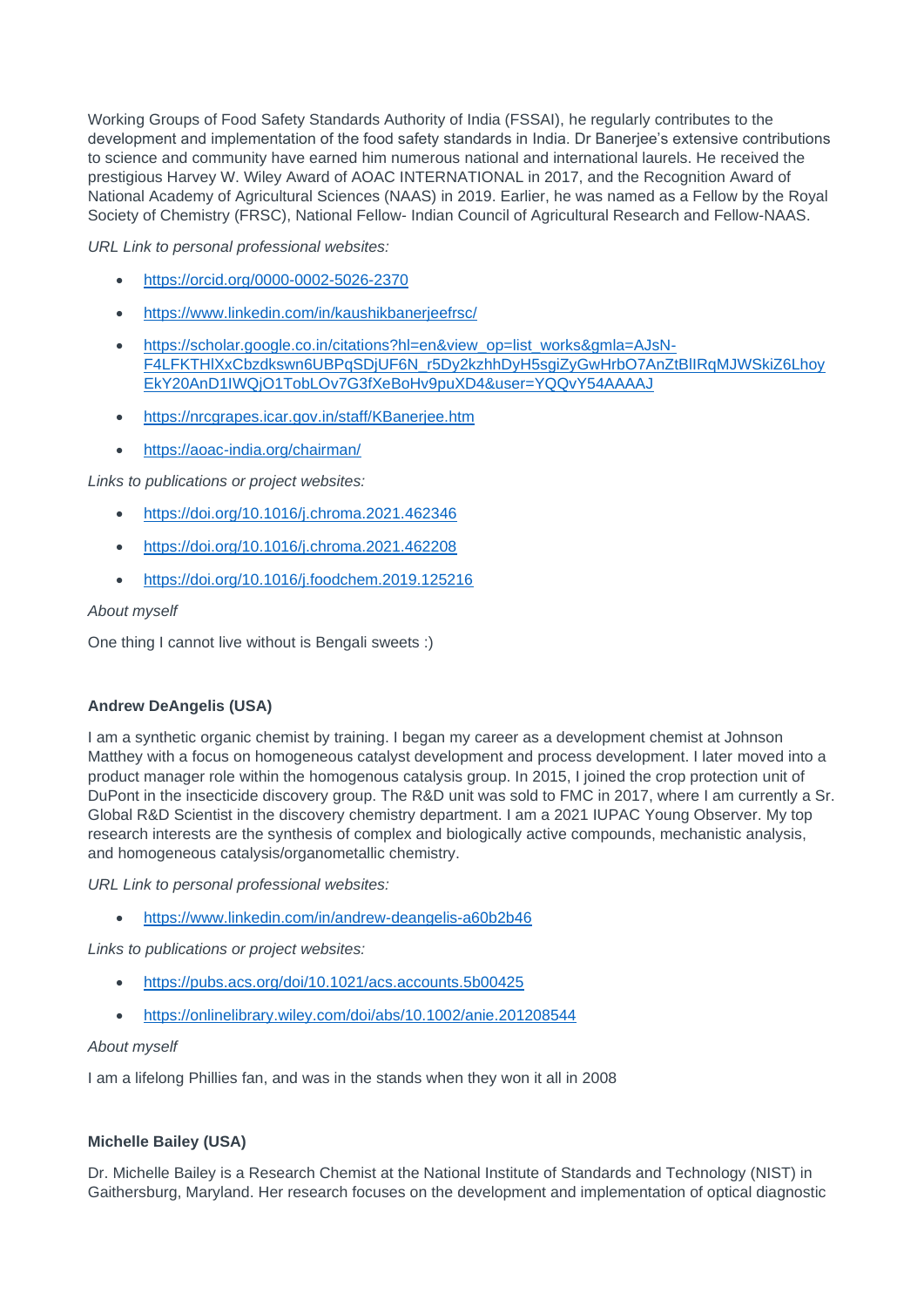Working Groups of Food Safety Standards Authority of India (FSSAI), he regularly contributes to the development and implementation of the food safety standards in India. Dr Banerjee's extensive contributions to science and community have earned him numerous national and international laurels. He received the prestigious Harvey W. Wiley Award of AOAC INTERNATIONAL in 2017, and the Recognition Award of National Academy of Agricultural Sciences (NAAS) in 2019. Earlier, he was named as a Fellow by the Royal Society of Chemistry (FRSC), National Fellow- Indian Council of Agricultural Research and Fellow-NAAS.

*URL Link to personal professional websites:* 

- <https://orcid.org/0000-0002-5026-2370>
- <https://www.linkedin.com/in/kaushikbanerjeefrsc/>
- [https://scholar.google.co.in/citations?hl=en&view\\_op=list\\_works&gmla=AJsN-](https://scholar.google.co.in/citations?hl=en&view_op=list_works&gmla=AJsN-F4LFKTHlXxCbzdkswn6UBPqSDjUF6N_r5Dy2kzhhDyH5sgiZyGwHrbO7AnZtBlIRqMJWSkiZ6LhoyEkY20AnD1IWQjO1TobLOv7G3fXeBoHv9puXD4&user=YQQvY54AAAAJ)[F4LFKTHlXxCbzdkswn6UBPqSDjUF6N\\_r5Dy2kzhhDyH5sgiZyGwHrbO7AnZtBlIRqMJWSkiZ6Lhoy](https://scholar.google.co.in/citations?hl=en&view_op=list_works&gmla=AJsN-F4LFKTHlXxCbzdkswn6UBPqSDjUF6N_r5Dy2kzhhDyH5sgiZyGwHrbO7AnZtBlIRqMJWSkiZ6LhoyEkY20AnD1IWQjO1TobLOv7G3fXeBoHv9puXD4&user=YQQvY54AAAAJ) [EkY20AnD1IWQjO1TobLOv7G3fXeBoHv9puXD4&user=YQQvY54AAAAJ](https://scholar.google.co.in/citations?hl=en&view_op=list_works&gmla=AJsN-F4LFKTHlXxCbzdkswn6UBPqSDjUF6N_r5Dy2kzhhDyH5sgiZyGwHrbO7AnZtBlIRqMJWSkiZ6LhoyEkY20AnD1IWQjO1TobLOv7G3fXeBoHv9puXD4&user=YQQvY54AAAAJ)
- <https://nrcgrapes.icar.gov.in/staff/KBanerjee.htm>
- <https://aoac-india.org/chairman/>

*Links to publications or project websites:*

- <https://doi.org/10.1016/j.chroma.2021.462346>
- <https://doi.org/10.1016/j.chroma.2021.462208>
- <https://doi.org/10.1016/j.foodchem.2019.125216>

# *About myself*

One thing I cannot live without is Bengali sweets :)

# **Andrew DeAngelis (USA)**

I am a synthetic organic chemist by training. I began my career as a development chemist at Johnson Matthey with a focus on homogeneous catalyst development and process development. I later moved into a product manager role within the homogenous catalysis group. In 2015, I joined the crop protection unit of DuPont in the insecticide discovery group. The R&D unit was sold to FMC in 2017, where I am currently a Sr. Global R&D Scientist in the discovery chemistry department. I am a 2021 IUPAC Young Observer. My top research interests are the synthesis of complex and biologically active compounds, mechanistic analysis, and homogeneous catalysis/organometallic chemistry.

*URL Link to personal professional websites:* 

• <https://www.linkedin.com/in/andrew-deangelis-a60b2b46>

*Links to publications or project websites:*

- <https://pubs.acs.org/doi/10.1021/acs.accounts.5b00425>
- <https://onlinelibrary.wiley.com/doi/abs/10.1002/anie.201208544>

# *About myself*

I am a lifelong Phillies fan, and was in the stands when they won it all in 2008

# **Michelle Bailey (USA)**

Dr. Michelle Bailey is a Research Chemist at the National Institute of Standards and Technology (NIST) in Gaithersburg, Maryland. Her research focuses on the development and implementation of optical diagnostic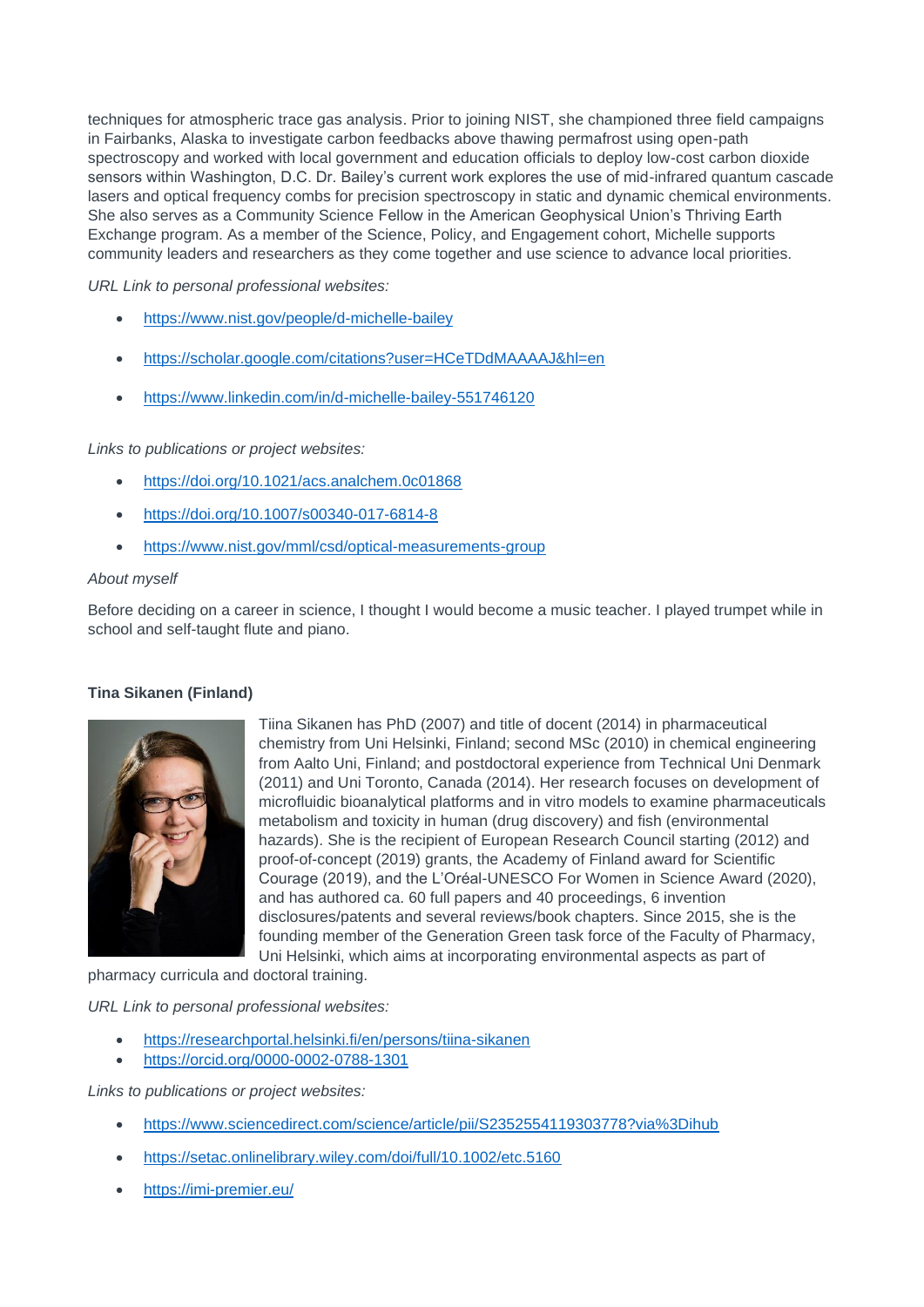techniques for atmospheric trace gas analysis. Prior to joining NIST, she championed three field campaigns in Fairbanks, Alaska to investigate carbon feedbacks above thawing permafrost using open-path spectroscopy and worked with local government and education officials to deploy low-cost carbon dioxide sensors within Washington, D.C. Dr. Bailey's current work explores the use of mid-infrared quantum cascade lasers and optical frequency combs for precision spectroscopy in static and dynamic chemical environments. She also serves as a Community Science Fellow in the American Geophysical Union's Thriving Earth Exchange program. As a member of the Science, Policy, and Engagement cohort, Michelle supports community leaders and researchers as they come together and use science to advance local priorities.

*URL Link to personal professional websites:* 

- <https://www.nist.gov/people/d-michelle-bailey>
- <https://scholar.google.com/citations?user=HCeTDdMAAAAJ&hl=en>
- <https://www.linkedin.com/in/d-michelle-bailey-551746120>

*Links to publications or project websites:*

- <https://doi.org/10.1021/acs.analchem.0c01868>
- <https://doi.org/10.1007/s00340-017-6814-8>
- <https://www.nist.gov/mml/csd/optical-measurements-group>

#### *About myself*

Before deciding on a career in science, I thought I would become a music teacher. I played trumpet while in school and self-taught flute and piano.

#### **Tina Sikanen (Finland)**



Tiina Sikanen has PhD (2007) and title of docent (2014) in pharmaceutical chemistry from Uni Helsinki, Finland; second MSc (2010) in chemical engineering from Aalto Uni, Finland; and postdoctoral experience from Technical Uni Denmark (2011) and Uni Toronto, Canada (2014). Her research focuses on development of microfluidic bioanalytical platforms and in vitro models to examine pharmaceuticals metabolism and toxicity in human (drug discovery) and fish (environmental hazards). She is the recipient of European Research Council starting (2012) and proof-of-concept (2019) grants, the Academy of Finland award for Scientific Courage (2019), and the L'Oréal-UNESCO For Women in Science Award (2020), and has authored ca. 60 full papers and 40 proceedings, 6 invention disclosures/patents and several reviews/book chapters. Since 2015, she is the founding member of the Generation Green task force of the Faculty of Pharmacy, Uni Helsinki, which aims at incorporating environmental aspects as part of

pharmacy curricula and doctoral training.

*URL Link to personal professional websites:* 

- <https://researchportal.helsinki.fi/en/persons/tiina-sikanen>
- <https://orcid.org/0000-0002-0788-1301>

- <https://www.sciencedirect.com/science/article/pii/S2352554119303778?via%3Dihub>
- <https://setac.onlinelibrary.wiley.com/doi/full/10.1002/etc.5160>
- <https://imi-premier.eu/>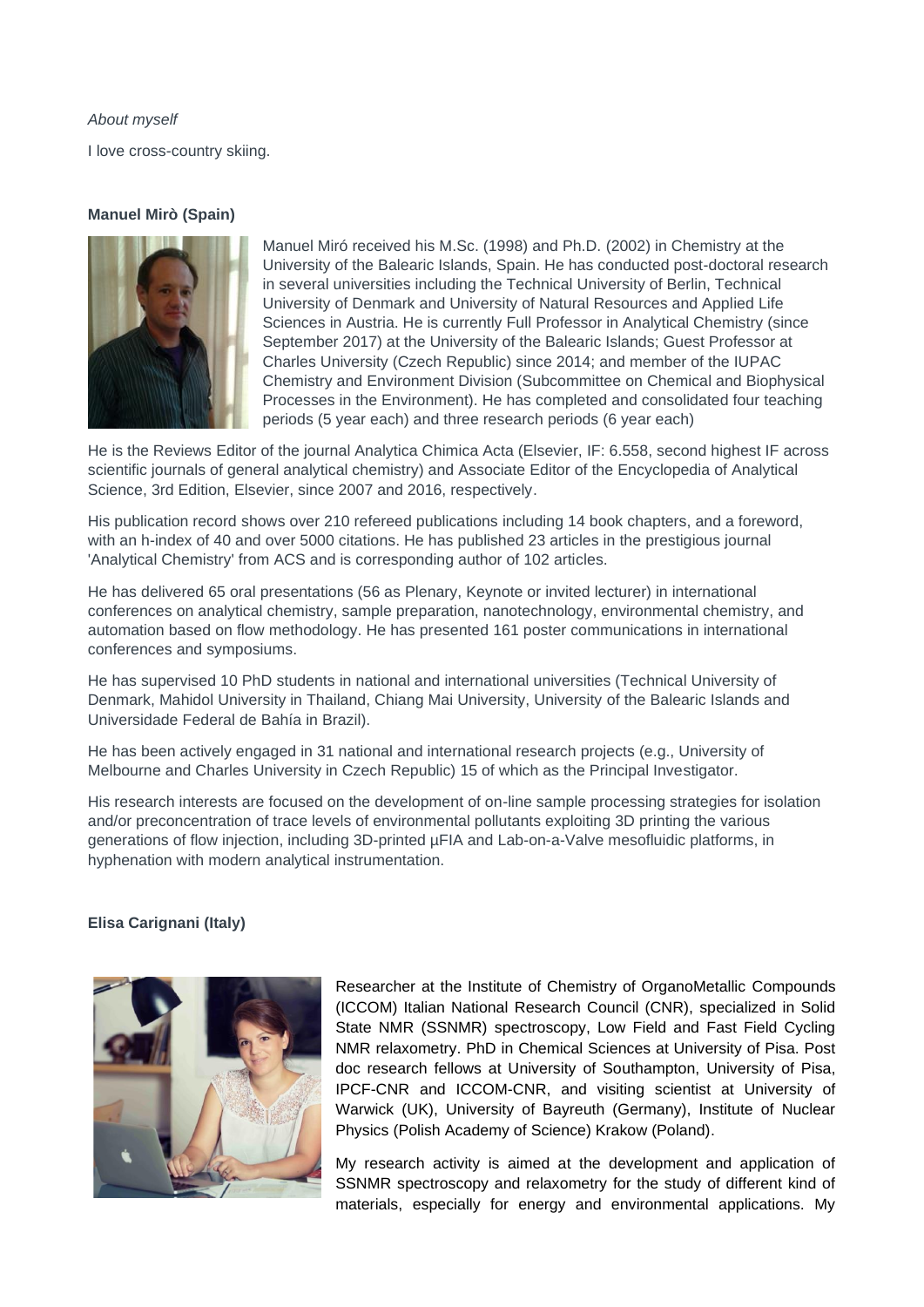*About myself* I love cross-country skiing.

# **Manuel Mirò (Spain)**



Manuel Miró received his M.Sc. (1998) and Ph.D. (2002) in Chemistry at the University of the Balearic Islands, Spain. He has conducted post-doctoral research in several universities including the Technical University of Berlin, Technical University of Denmark and University of Natural Resources and Applied Life Sciences in Austria. He is currently Full Professor in Analytical Chemistry (since September 2017) at the University of the Balearic Islands; Guest Professor at Charles University (Czech Republic) since 2014; and member of the IUPAC Chemistry and Environment Division (Subcommittee on Chemical and Biophysical Processes in the Environment). He has completed and consolidated four teaching periods (5 year each) and three research periods (6 year each)

He is the Reviews Editor of the journal Analytica Chimica Acta (Elsevier, IF: 6.558, second highest IF across scientific journals of general analytical chemistry) and Associate Editor of the Encyclopedia of Analytical Science, 3rd Edition, Elsevier, since 2007 and 2016, respectively.

His publication record shows over 210 refereed publications including 14 book chapters, and a foreword, with an h-index of 40 and over 5000 citations. He has published 23 articles in the prestigious journal 'Analytical Chemistry' from ACS and is corresponding author of 102 articles.

He has delivered 65 oral presentations (56 as Plenary, Keynote or invited lecturer) in international conferences on analytical chemistry, sample preparation, nanotechnology, environmental chemistry, and automation based on flow methodology. He has presented 161 poster communications in international conferences and symposiums.

He has supervised 10 PhD students in national and international universities (Technical University of Denmark, Mahidol University in Thailand, Chiang Mai University, University of the Balearic Islands and Universidade Federal de Bahía in Brazil).

He has been actively engaged in 31 national and international research projects (e.g., University of Melbourne and Charles University in Czech Republic) 15 of which as the Principal Investigator.

His research interests are focused on the development of on-line sample processing strategies for isolation and/or preconcentration of trace levels of environmental pollutants exploiting 3D printing the various generations of flow injection, including 3D-printed µFIA and Lab-on-a-Valve mesofluidic platforms, in hyphenation with modern analytical instrumentation.

# **Elisa Carignani (Italy)**



Researcher at the Institute of Chemistry of OrganoMetallic Compounds (ICCOM) Italian National Research Council (CNR), specialized in Solid State NMR (SSNMR) spectroscopy, Low Field and Fast Field Cycling NMR relaxometry. PhD in Chemical Sciences at University of Pisa. Post doc research fellows at University of Southampton, University of Pisa, IPCF-CNR and ICCOM-CNR, and visiting scientist at University of Warwick (UK), University of Bayreuth (Germany), Institute of Nuclear Physics (Polish Academy of Science) Krakow (Poland).

My research activity is aimed at the development and application of SSNMR spectroscopy and relaxometry for the study of different kind of materials, especially for energy and environmental applications. My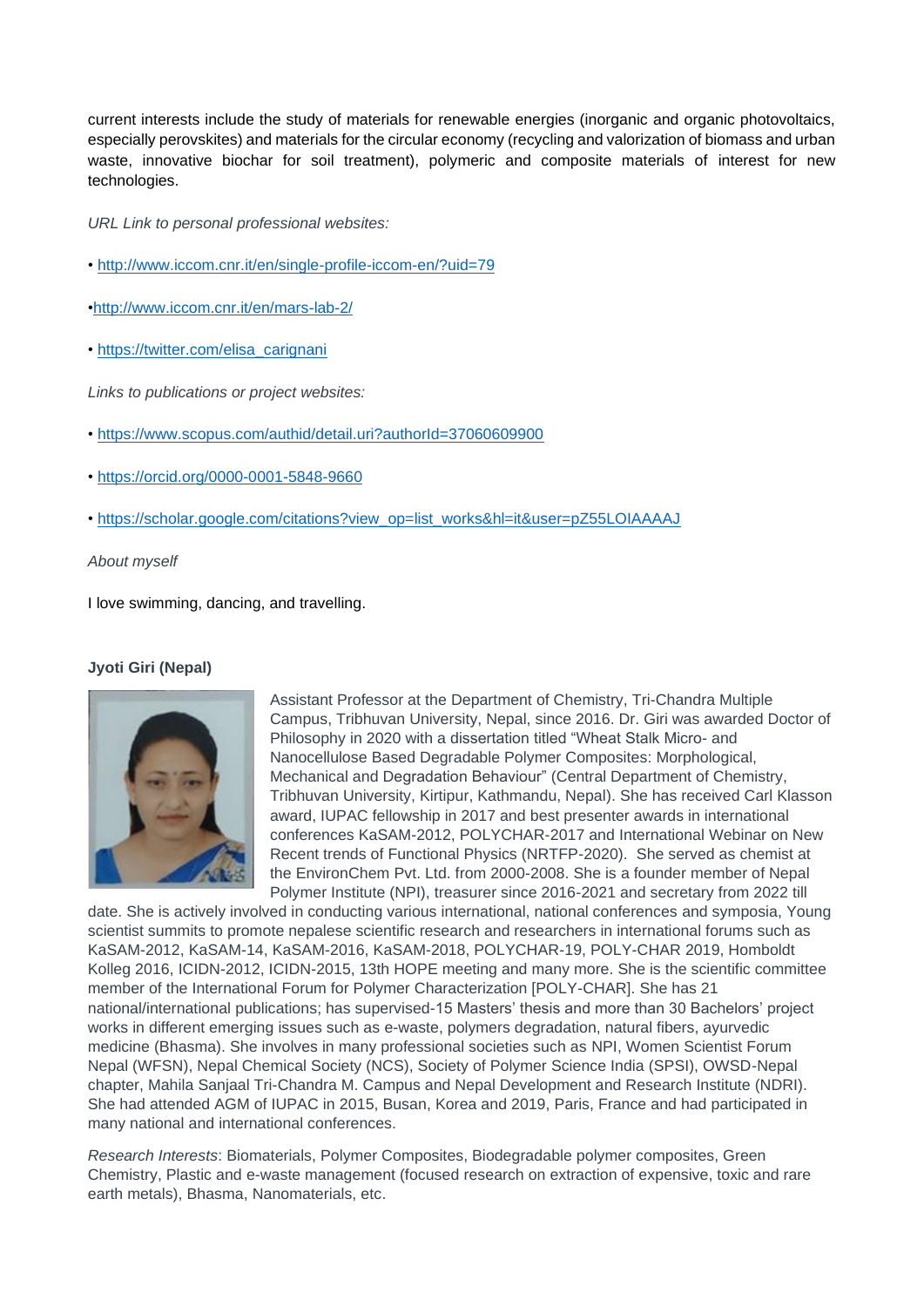current interests include the study of materials for renewable energies (inorganic and organic photovoltaics, especially perovskites) and materials for the circular economy (recycling and valorization of biomass and urban waste, innovative biochar for soil treatment), polymeric and composite materials of interest for new technologies.

*URL Link to personal professional websites:* 

- •<http://www.iccom.cnr.it/en/single-profile-iccom-en/?uid=79>
- [•http://www.iccom.cnr.it/en/mars-lab-2/](http://www.iccom.cnr.it/en/mars-lab-2/)
- • [https://twitter.com/elisa\\_carignani](https://twitter.com/elisa_carignani)

*Links to publications or project websites:* 

- •<https://www.scopus.com/authid/detail.uri?authorId=37060609900>
- •<https://orcid.org/0000-0001-5848-9660>
- • [https://scholar.google.com/citations?view\\_op=list\\_works&hl=it&user=pZ55LOIAAAAJ](https://scholar.google.com/citations?view_op=list_works&hl=it&user=pZ55LOIAAAAJ)

*About myself* 

I love swimming, dancing, and travelling.

#### **Jyoti Giri (Nepal)**



Assistant Professor at the Department of Chemistry, Tri-Chandra Multiple Campus, Tribhuvan University, Nepal, since 2016. Dr. Giri was awarded Doctor of Philosophy in 2020 with a dissertation titled "Wheat Stalk Micro- and Nanocellulose Based Degradable Polymer Composites: Morphological, Mechanical and Degradation Behaviour" (Central Department of Chemistry, Tribhuvan University, Kirtipur, Kathmandu, Nepal). She has received Carl Klasson award, IUPAC fellowship in 2017 and best presenter awards in international conferences KaSAM-2012, POLYCHAR-2017 and International Webinar on New Recent trends of Functional Physics (NRTFP-2020). She served as chemist at the EnvironChem Pvt. Ltd. from 2000-2008. She is a founder member of Nepal Polymer Institute (NPI), treasurer since 2016-2021 and secretary from 2022 till

date. She is actively involved in conducting various international, national conferences and symposia, Young scientist summits to promote nepalese scientific research and researchers in international forums such as KaSAM-2012, KaSAM-14, KaSAM-2016, KaSAM-2018, POLYCHAR-19, POLY-CHAR 2019, Homboldt Kolleg 2016, ICIDN-2012, ICIDN-2015, 13th HOPE meeting and many more. She is the scientific committee member of the International Forum for Polymer Characterization [POLY-CHAR]. She has 21 national/international publications; has supervised-15 Masters' thesis and more than 30 Bachelors' project works in different emerging issues such as e-waste, polymers degradation, natural fibers, ayurvedic medicine (Bhasma). She involves in many professional societies such as NPI, Women Scientist Forum Nepal (WFSN), Nepal Chemical Society (NCS), Society of Polymer Science India (SPSI), OWSD-Nepal chapter, Mahila Sanjaal Tri-Chandra M. Campus and Nepal Development and Research Institute (NDRI). She had attended AGM of IUPAC in 2015, Busan, Korea and 2019, Paris, France and had participated in many national and international conferences.

*Research Interests*: Biomaterials, Polymer Composites, Biodegradable polymer composites, Green Chemistry, Plastic and e-waste management (focused research on extraction of expensive, toxic and rare earth metals), Bhasma, Nanomaterials, etc.